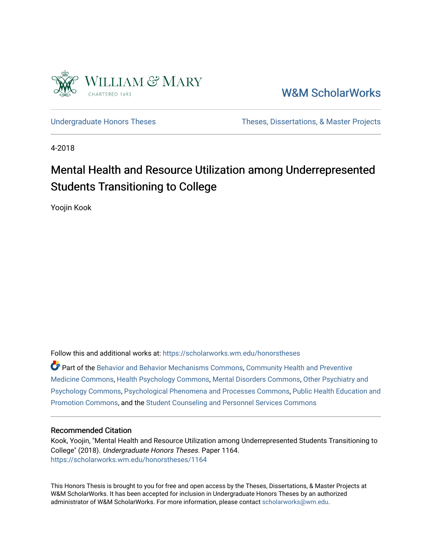

W&M ScholarWorks

[Undergraduate Honors Theses](https://scholarworks.wm.edu/honorstheses) Theses Theses, Dissertations, & Master Projects

4-2018

# Mental Health and Resource Utilization among Underrepresented Students Transitioning to College

Yoojin Kook

Follow this and additional works at: [https://scholarworks.wm.edu/honorstheses](https://scholarworks.wm.edu/honorstheses?utm_source=scholarworks.wm.edu%2Fhonorstheses%2F1164&utm_medium=PDF&utm_campaign=PDFCoverPages) 

Part of the [Behavior and Behavior Mechanisms Commons,](http://network.bepress.com/hgg/discipline/963?utm_source=scholarworks.wm.edu%2Fhonorstheses%2F1164&utm_medium=PDF&utm_campaign=PDFCoverPages) Community Health and Preventive [Medicine Commons](http://network.bepress.com/hgg/discipline/744?utm_source=scholarworks.wm.edu%2Fhonorstheses%2F1164&utm_medium=PDF&utm_campaign=PDFCoverPages), [Health Psychology Commons,](http://network.bepress.com/hgg/discipline/411?utm_source=scholarworks.wm.edu%2Fhonorstheses%2F1164&utm_medium=PDF&utm_campaign=PDFCoverPages) [Mental Disorders Commons,](http://network.bepress.com/hgg/discipline/968?utm_source=scholarworks.wm.edu%2Fhonorstheses%2F1164&utm_medium=PDF&utm_campaign=PDFCoverPages) [Other Psychiatry and](http://network.bepress.com/hgg/discipline/992?utm_source=scholarworks.wm.edu%2Fhonorstheses%2F1164&utm_medium=PDF&utm_campaign=PDFCoverPages) [Psychology Commons,](http://network.bepress.com/hgg/discipline/992?utm_source=scholarworks.wm.edu%2Fhonorstheses%2F1164&utm_medium=PDF&utm_campaign=PDFCoverPages) [Psychological Phenomena and Processes Commons](http://network.bepress.com/hgg/discipline/914?utm_source=scholarworks.wm.edu%2Fhonorstheses%2F1164&utm_medium=PDF&utm_campaign=PDFCoverPages), [Public Health Education and](http://network.bepress.com/hgg/discipline/743?utm_source=scholarworks.wm.edu%2Fhonorstheses%2F1164&utm_medium=PDF&utm_campaign=PDFCoverPages)  [Promotion Commons](http://network.bepress.com/hgg/discipline/743?utm_source=scholarworks.wm.edu%2Fhonorstheses%2F1164&utm_medium=PDF&utm_campaign=PDFCoverPages), and the [Student Counseling and Personnel Services Commons](http://network.bepress.com/hgg/discipline/802?utm_source=scholarworks.wm.edu%2Fhonorstheses%2F1164&utm_medium=PDF&utm_campaign=PDFCoverPages) 

### Recommended Citation

Kook, Yoojin, "Mental Health and Resource Utilization among Underrepresented Students Transitioning to College" (2018). Undergraduate Honors Theses. Paper 1164. [https://scholarworks.wm.edu/honorstheses/1164](https://scholarworks.wm.edu/honorstheses/1164?utm_source=scholarworks.wm.edu%2Fhonorstheses%2F1164&utm_medium=PDF&utm_campaign=PDFCoverPages)

This Honors Thesis is brought to you for free and open access by the Theses, Dissertations, & Master Projects at W&M ScholarWorks. It has been accepted for inclusion in Undergraduate Honors Theses by an authorized administrator of W&M ScholarWorks. For more information, please contact [scholarworks@wm.edu.](mailto:scholarworks@wm.edu)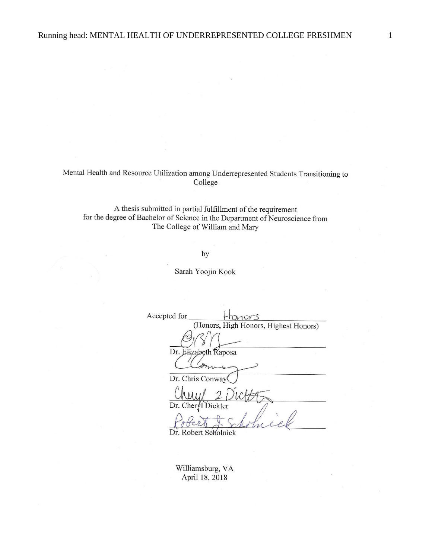Mental Health and Resource Utilization among Underrepresented Students Transitioning to College

A thesis submitted in partial fulfillment of the requirement for the degree of Bachelor of Science in the Department of Neuroscience from The College of William and Mary

by

Sarah Yoojin Kook

Accepted for  $70<sup>r</sup>$ (Honors, High Honors, Highest Honors) Dr. Elizabeth Raposa Dr. Chris Conway Dr. Cheryl Dickter

Dr. Robert Scholnick

Williamsburg, VA April 18, 2018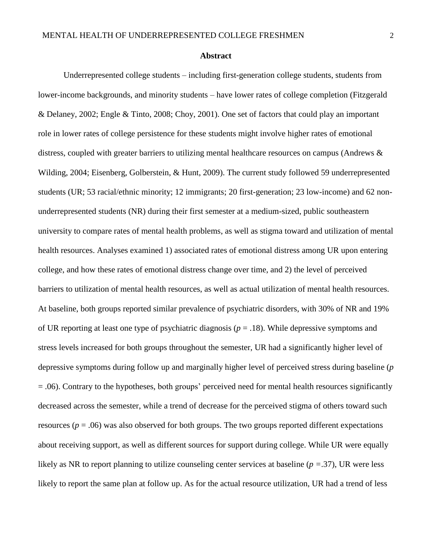#### **Abstract**

Underrepresented college students – including first-generation college students, students from lower-income backgrounds, and minority students – have lower rates of college completion (Fitzgerald & Delaney, 2002; Engle & Tinto, 2008; Choy, 2001). One set of factors that could play an important role in lower rates of college persistence for these students might involve higher rates of emotional distress, coupled with greater barriers to utilizing mental healthcare resources on campus (Andrews & Wilding, 2004; Eisenberg, Golberstein, & Hunt, 2009). The current study followed 59 underrepresented students (UR; 53 racial/ethnic minority; 12 immigrants; 20 first-generation; 23 low-income) and 62 nonunderrepresented students (NR) during their first semester at a medium-sized, public southeastern university to compare rates of mental health problems, as well as stigma toward and utilization of mental health resources. Analyses examined 1) associated rates of emotional distress among UR upon entering college, and how these rates of emotional distress change over time, and 2) the level of perceived barriers to utilization of mental health resources, as well as actual utilization of mental health resources. At baseline, both groups reported similar prevalence of psychiatric disorders, with 30% of NR and 19% of UR reporting at least one type of psychiatric diagnosis (*p* = .18). While depressive symptoms and stress levels increased for both groups throughout the semester, UR had a significantly higher level of depressive symptoms during follow up and marginally higher level of perceived stress during baseline (*p*  = .06). Contrary to the hypotheses, both groups' perceived need for mental health resources significantly decreased across the semester, while a trend of decrease for the perceived stigma of others toward such resources ( $p = .06$ ) was also observed for both groups. The two groups reported different expectations about receiving support, as well as different sources for support during college. While UR were equally likely as NR to report planning to utilize counseling center services at baseline (*p =*.37), UR were less likely to report the same plan at follow up. As for the actual resource utilization, UR had a trend of less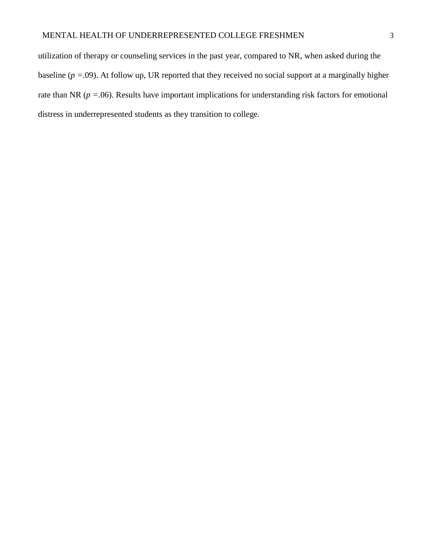utilization of therapy or counseling services in the past year, compared to NR, when asked during the baseline (*p =*.09). At follow up, UR reported that they received no social support at a marginally higher rate than NR (*p =*.06). Results have important implications for understanding risk factors for emotional distress in underrepresented students as they transition to college.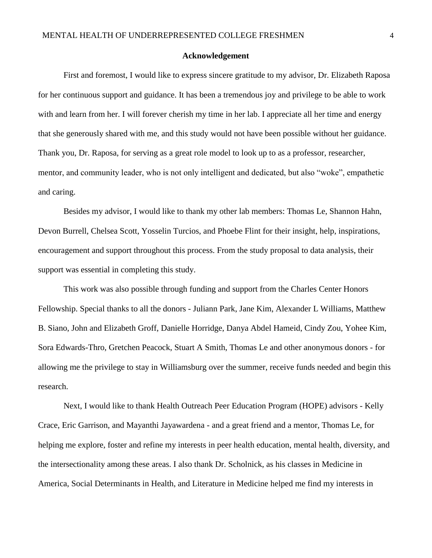#### **Acknowledgement**

First and foremost, I would like to express sincere gratitude to my advisor, Dr. Elizabeth Raposa for her continuous support and guidance. It has been a tremendous joy and privilege to be able to work with and learn from her. I will forever cherish my time in her lab. I appreciate all her time and energy that she generously shared with me, and this study would not have been possible without her guidance. Thank you, Dr. Raposa, for serving as a great role model to look up to as a professor, researcher, mentor, and community leader, who is not only intelligent and dedicated, but also "woke", empathetic and caring.

Besides my advisor, I would like to thank my other lab members: Thomas Le, Shannon Hahn, Devon Burrell, Chelsea Scott, Yosselin Turcios, and Phoebe Flint for their insight, help, inspirations, encouragement and support throughout this process. From the study proposal to data analysis, their support was essential in completing this study.

This work was also possible through funding and support from the Charles Center Honors Fellowship. Special thanks to all the donors - Juliann Park, Jane Kim, Alexander L Williams, Matthew B. Siano, John and Elizabeth Groff, Danielle Horridge, Danya Abdel Hameid, Cindy Zou, Yohee Kim, Sora Edwards-Thro, Gretchen Peacock, Stuart A Smith, Thomas Le and other anonymous donors - for allowing me the privilege to stay in Williamsburg over the summer, receive funds needed and begin this research.

Next, I would like to thank Health Outreach Peer Education Program (HOPE) advisors - Kelly Crace, Eric Garrison, and Mayanthi Jayawardena - and a great friend and a mentor, Thomas Le, for helping me explore, foster and refine my interests in peer health education, mental health, diversity, and the intersectionality among these areas. I also thank Dr. Scholnick, as his classes in Medicine in America, Social Determinants in Health, and Literature in Medicine helped me find my interests in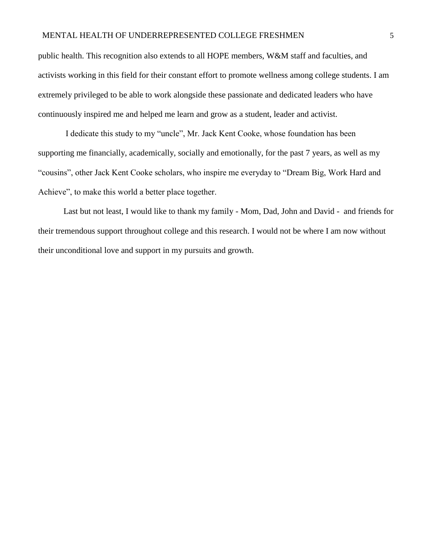### MENTAL HEALTH OF UNDERREPRESENTED COLLEGE FRESHMEN 5

public health. This recognition also extends to all HOPE members, W&M staff and faculties, and activists working in this field for their constant effort to promote wellness among college students. I am extremely privileged to be able to work alongside these passionate and dedicated leaders who have continuously inspired me and helped me learn and grow as a student, leader and activist.

I dedicate this study to my "uncle", Mr. Jack Kent Cooke, whose foundation has been supporting me financially, academically, socially and emotionally, for the past 7 years, as well as my "cousins", other Jack Kent Cooke scholars, who inspire me everyday to "Dream Big, Work Hard and Achieve", to make this world a better place together.

Last but not least, I would like to thank my family - Mom, Dad, John and David - and friends for their tremendous support throughout college and this research. I would not be where I am now without their unconditional love and support in my pursuits and growth.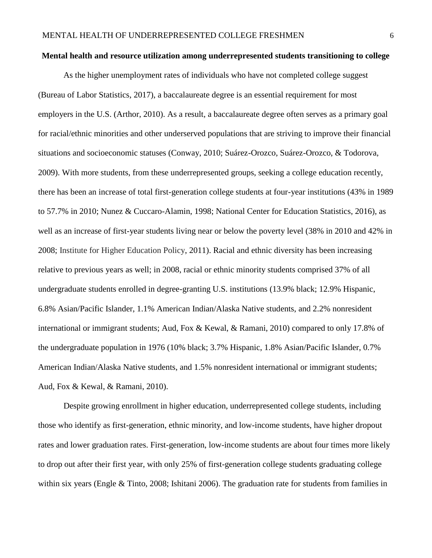#### **Mental health and resource utilization among underrepresented students transitioning to college**

As the higher unemployment rates of individuals who have not completed college suggest (Bureau of Labor Statistics, 2017), a baccalaureate degree is an essential requirement for most employers in the U.S. (Arthor, 2010). As a result, a baccalaureate degree often serves as a primary goal for racial/ethnic minorities and other underserved populations that are striving to improve their financial situations and socioeconomic statuses (Conway, 2010; Suárez-Orozco, Suárez-Orozco, & Todorova, 2009). With more students, from these underrepresented groups, seeking a college education recently, there has been an increase of total first-generation college students at four-year institutions (43% in 1989 to 57.7% in 2010; Nunez & Cuccaro-Alamin, 1998; National Center for Education Statistics, 2016), as well as an increase of first-year students living near or below the poverty level (38% in 2010 and 42% in 2008; Institute for Higher Education Policy, 2011). Racial and ethnic diversity has been increasing relative to previous years as well; in 2008, racial or ethnic minority students comprised 37% of all undergraduate students enrolled in degree-granting U.S. institutions (13.9% black; 12.9% Hispanic, 6.8% Asian/Pacific Islander, 1.1% American Indian/Alaska Native students, and 2.2% nonresident international or immigrant students; Aud, Fox & Kewal, & Ramani, 2010) compared to only 17.8% of the undergraduate population in 1976 (10% black; 3.7% Hispanic, 1.8% Asian/Pacific Islander, 0.7% American Indian/Alaska Native students, and 1.5% nonresident international or immigrant students; Aud, Fox & Kewal, & Ramani, 2010).

Despite growing enrollment in higher education, underrepresented college students, including those who identify as first-generation, ethnic minority, and low-income students, have higher dropout rates and lower graduation rates. First-generation, low-income students are about four times more likely to drop out after their first year, with only 25% of first-generation college students graduating college within six years (Engle & Tinto, 2008; Ishitani 2006). The graduation rate for students from families in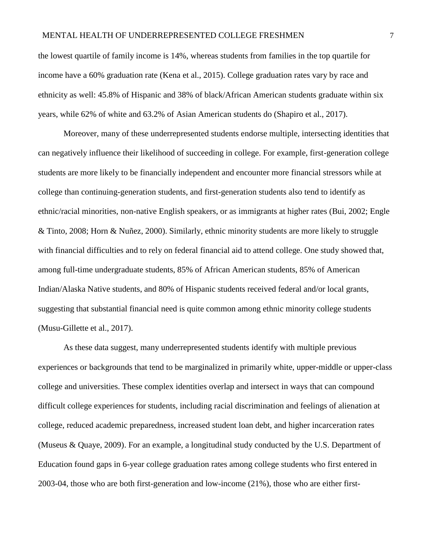### MENTAL HEALTH OF UNDERREPRESENTED COLLEGE FRESHMEN 7

the lowest quartile of family income is 14%, whereas students from families in the top quartile for income have a 60% graduation rate (Kena et al., 2015). College graduation rates vary by race and ethnicity as well: 45.8% of Hispanic and 38% of black/African American students graduate within six years, while 62% of white and 63.2% of Asian American students do (Shapiro et al., 2017).

Moreover, many of these underrepresented students endorse multiple, intersecting identities that can negatively influence their likelihood of succeeding in college. For example, first-generation college students are more likely to be financially independent and encounter more financial stressors while at college than continuing-generation students, and first-generation students also tend to identify as ethnic/racial minorities, non-native English speakers, or as immigrants at higher rates (Bui, 2002; Engle & Tinto, 2008; Horn & Nuñez, 2000). Similarly, ethnic minority students are more likely to struggle with financial difficulties and to rely on federal financial aid to attend college. One study showed that, among full-time undergraduate students, 85% of African American students, 85% of American Indian/Alaska Native students, and 80% of Hispanic students received federal and/or local grants, suggesting that substantial financial need is quite common among ethnic minority college students (Musu-Gillette et al., 2017).

As these data suggest, many underrepresented students identify with multiple previous experiences or backgrounds that tend to be marginalized in primarily white, upper-middle or upper-class college and universities. These complex identities overlap and intersect in ways that can compound difficult college experiences for students, including racial discrimination and feelings of alienation at college, reduced academic preparedness, increased student loan debt, and higher incarceration rates (Museus & Quaye, 2009). For an example, a longitudinal study conducted by the U.S. Department of Education found gaps in 6-year college graduation rates among college students who first entered in 2003-04, those who are both first-generation and low-income (21%), those who are either first-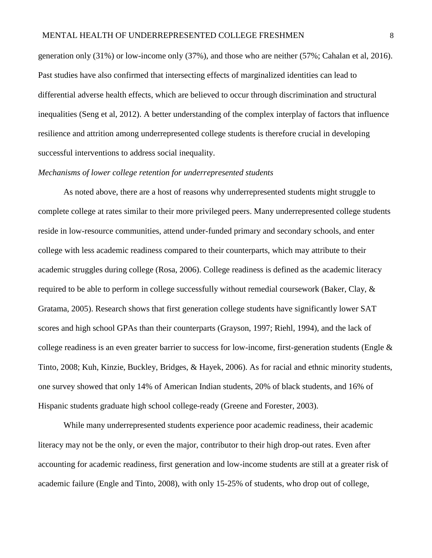generation only (31%) or low-income only (37%), and those who are neither (57%; Cahalan et al, 2016). Past studies have also confirmed that intersecting effects of marginalized identities can lead to differential adverse health effects, which are believed to occur through discrimination and structural inequalities (Seng et al, 2012). A better understanding of the complex interplay of factors that influence resilience and attrition among underrepresented college students is therefore crucial in developing successful interventions to address social inequality.

### *Mechanisms of lower college retention for underrepresented students*

As noted above, there are a host of reasons why underrepresented students might struggle to complete college at rates similar to their more privileged peers. Many underrepresented college students reside in low-resource communities, attend under-funded primary and secondary schools, and enter college with less academic readiness compared to their counterparts, which may attribute to their academic struggles during college (Rosa, 2006). College readiness is defined as the academic literacy required to be able to perform in college successfully without remedial coursework (Baker, Clay, & Gratama, 2005). Research shows that first generation college students have significantly lower SAT scores and high school GPAs than their counterparts (Grayson, 1997; Riehl, 1994), and the lack of college readiness is an even greater barrier to success for low-income, first-generation students (Engle  $\&$ Tinto, 2008; Kuh, Kinzie, Buckley, Bridges, & Hayek, 2006). As for racial and ethnic minority students, one survey showed that only 14% of American Indian students, 20% of black students, and 16% of Hispanic students graduate high school college-ready (Greene and Forester, 2003).

While many underrepresented students experience poor academic readiness, their academic literacy may not be the only, or even the major, contributor to their high drop-out rates. Even after accounting for academic readiness, first generation and low-income students are still at a greater risk of academic failure (Engle and Tinto, 2008), with only 15-25% of students, who drop out of college,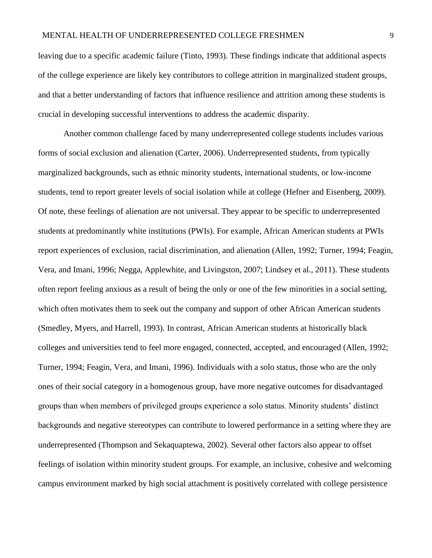leaving due to a specific academic failure (Tinto, 1993). These findings indicate that additional aspects of the college experience are likely key contributors to college attrition in marginalized student groups, and that a better understanding of factors that influence resilience and attrition among these students is crucial in developing successful interventions to address the academic disparity.

Another common challenge faced by many underrepresented college students includes various forms of social exclusion and alienation (Carter, 2006). Underrepresented students, from typically marginalized backgrounds, such as ethnic minority students, international students, or low-income students, tend to report greater levels of social isolation while at college (Hefner and Eisenberg, 2009). Of note, these feelings of alienation are not universal. They appear to be specific to underrepresented students at predominantly white institutions (PWIs). For example, African American students at PWIs report experiences of exclusion, racial discrimination, and alienation (Allen, 1992; Turner, 1994; Feagin, Vera, and Imani, 1996; Negga, Applewhite, and Livingston, 2007; Lindsey et al., 2011). These students often report feeling anxious as a result of being the only or one of the few minorities in a social setting, which often motivates them to seek out the company and support of other African American students (Smedley, Myers, and Harrell, 1993). In contrast, African American students at historically black colleges and universities tend to feel more engaged, connected, accepted, and encouraged (Allen, 1992; Turner, 1994; Feagin, Vera, and Imani, 1996). Individuals with a solo status, those who are the only ones of their social category in a homogenous group, have more negative outcomes for disadvantaged groups than when members of privileged groups experience a solo status. Minority students' distinct backgrounds and negative stereotypes can contribute to lowered performance in a setting where they are underrepresented (Thompson and Sekaquaptewa, 2002). Several other factors also appear to offset feelings of isolation within minority student groups. For example, an inclusive, cohesive and welcoming campus environment marked by high social attachment is positively correlated with college persistence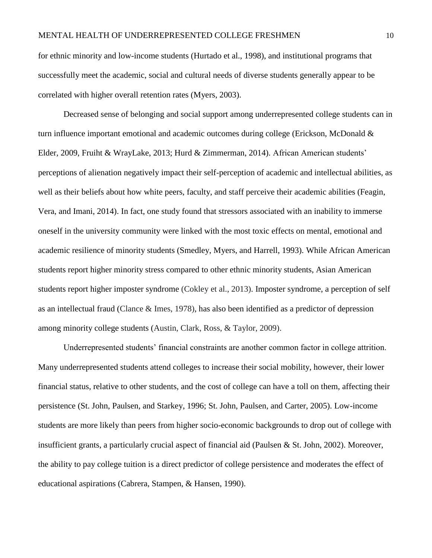for ethnic minority and low-income students (Hurtado et al., 1998), and institutional programs that successfully meet the academic, social and cultural needs of diverse students generally appear to be correlated with higher overall retention rates (Myers, 2003).

Decreased sense of belonging and social support among underrepresented college students can in turn influence important emotional and academic outcomes during college (Erickson, McDonald & Elder, 2009, Fruiht & WrayLake, 2013; Hurd & Zimmerman, 2014). African American students' perceptions of alienation negatively impact their self-perception of academic and intellectual abilities, as well as their beliefs about how white peers, faculty, and staff perceive their academic abilities (Feagin, Vera, and Imani, 2014). In fact, one study found that stressors associated with an inability to immerse oneself in the university community were linked with the most toxic effects on mental, emotional and academic resilience of minority students (Smedley, Myers, and Harrell, 1993). While African American students report higher minority stress compared to other ethnic minority students, Asian American students report higher imposter syndrome (Cokley et al., 2013). Imposter syndrome, a perception of self as an intellectual fraud (Clance & Imes, 1978), has also been identified as a predictor of depression among minority college students (Austin, Clark, Ross, & Taylor, 2009).

Underrepresented students' financial constraints are another common factor in college attrition. Many underrepresented students attend colleges to increase their social mobility, however, their lower financial status, relative to other students, and the cost of college can have a toll on them, affecting their persistence (St. John, Paulsen, and Starkey, 1996; St. John, Paulsen, and Carter, 2005). Low-income students are more likely than peers from higher socio-economic backgrounds to drop out of college with insufficient grants, a particularly crucial aspect of financial aid (Paulsen & St. John, 2002). Moreover, the ability to pay college tuition is a direct predictor of college persistence and moderates the effect of educational aspirations (Cabrera, Stampen, & Hansen, 1990).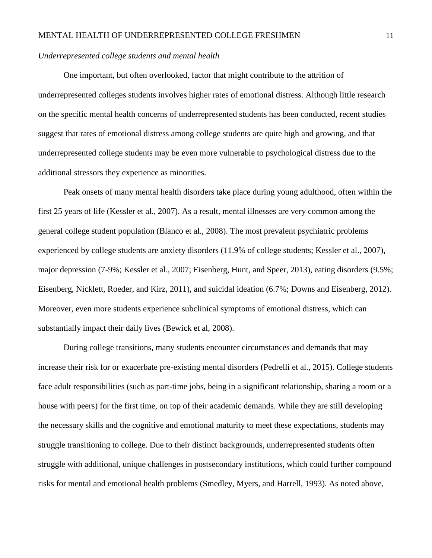### *Underrepresented college students and mental health*

One important, but often overlooked, factor that might contribute to the attrition of underrepresented colleges students involves higher rates of emotional distress. Although little research on the specific mental health concerns of underrepresented students has been conducted, recent studies suggest that rates of emotional distress among college students are quite high and growing, and that underrepresented college students may be even more vulnerable to psychological distress due to the additional stressors they experience as minorities.

Peak onsets of many mental health disorders take place during young adulthood, often within the first 25 years of life (Kessler et al., 2007). As a result, mental illnesses are very common among the general college student population (Blanco et al., 2008). The most prevalent psychiatric problems experienced by college students are anxiety disorders (11.9% of college students; Kessler et al., 2007), major depression (7-9%; Kessler et al., 2007; Eisenberg, Hunt, and Speer, 2013), eating disorders (9.5%; Eisenberg, Nicklett, Roeder, and Kirz, 2011), and suicidal ideation (6.7%; Downs and Eisenberg, 2012). Moreover, even more students experience subclinical symptoms of emotional distress, which can substantially impact their daily lives (Bewick et al, 2008).

During college transitions, many students encounter circumstances and demands that may increase their risk for or exacerbate pre-existing mental disorders (Pedrelli et al., 2015). College students face adult responsibilities (such as part-time jobs, being in a significant relationship, sharing a room or a house with peers) for the first time, on top of their academic demands. While they are still developing the necessary skills and the cognitive and emotional maturity to meet these expectations, students may struggle transitioning to college. Due to their distinct backgrounds, underrepresented students often struggle with additional, unique challenges in postsecondary institutions, which could further compound risks for mental and emotional health problems (Smedley, Myers, and Harrell, 1993). As noted above,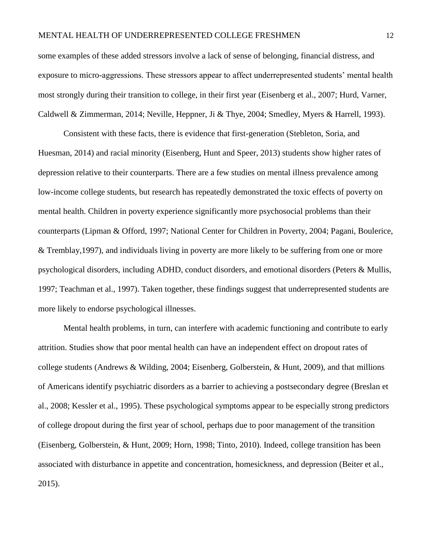some examples of these added stressors involve a lack of sense of belonging, financial distress, and exposure to micro-aggressions. These stressors appear to affect underrepresented students' mental health most strongly during their transition to college, in their first year (Eisenberg et al., 2007; Hurd, Varner, Caldwell & Zimmerman, 2014; Neville, Heppner, Ji & Thye, 2004; Smedley, Myers & Harrell, 1993).

Consistent with these facts, there is evidence that first-generation (Stebleton, Soria, and Huesman, 2014) and racial minority (Eisenberg, Hunt and Speer, 2013) students show higher rates of depression relative to their counterparts. There are a few studies on mental illness prevalence among low-income college students, but research has repeatedly demonstrated the toxic effects of poverty on mental health. Children in poverty experience significantly more psychosocial problems than their counterparts (Lipman & Offord, 1997; National Center for Children in Poverty, 2004; Pagani, Boulerice, & Tremblay,1997), and individuals living in poverty are more likely to be suffering from one or more psychological disorders, including ADHD, conduct disorders, and emotional disorders (Peters & Mullis, 1997; Teachman et al., 1997). Taken together, these findings suggest that underrepresented students are more likely to endorse psychological illnesses.

Mental health problems, in turn, can interfere with academic functioning and contribute to early attrition. Studies show that poor mental health can have an independent effect on dropout rates of college students (Andrews & Wilding, 2004; Eisenberg, Golberstein, & Hunt, 2009), and that millions of Americans identify psychiatric disorders as a barrier to achieving a postsecondary degree (Breslan et al., 2008; Kessler et al., 1995). These psychological symptoms appear to be especially strong predictors of college dropout during the first year of school, perhaps due to poor management of the transition (Eisenberg, Golberstein, & Hunt, 2009; Horn, 1998; Tinto, 2010). Indeed, college transition has been associated with disturbance in appetite and concentration, homesickness, and depression (Beiter et al., 2015).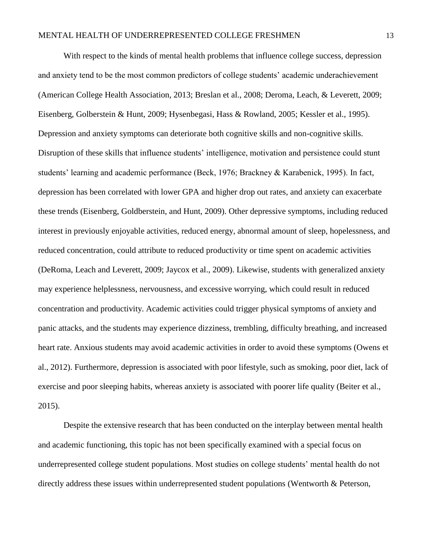With respect to the kinds of mental health problems that influence college success, depression and anxiety tend to be the most common predictors of college students' academic underachievement (American College Health Association, 2013; Breslan et al., 2008; Deroma, Leach, & Leverett, 2009; Eisenberg, Golberstein & Hunt, 2009; Hysenbegasi, Hass & Rowland, 2005; Kessler et al., 1995). Depression and anxiety symptoms can deteriorate both cognitive skills and non-cognitive skills. Disruption of these skills that influence students' intelligence, motivation and persistence could stunt students' learning and academic performance (Beck, 1976; Brackney & Karabenick, 1995). In fact, depression has been correlated with lower GPA and higher drop out rates, and anxiety can exacerbate these trends (Eisenberg, Goldberstein, and Hunt, 2009). Other depressive symptoms, including reduced interest in previously enjoyable activities, reduced energy, abnormal amount of sleep, hopelessness, and reduced concentration, could attribute to reduced productivity or time spent on academic activities (DeRoma, Leach and Leverett, 2009; Jaycox et al., 2009). Likewise, students with generalized anxiety may experience helplessness, nervousness, and excessive worrying, which could result in reduced concentration and productivity. Academic activities could trigger physical symptoms of anxiety and panic attacks, and the students may experience dizziness, trembling, difficulty breathing, and increased heart rate. Anxious students may avoid academic activities in order to avoid these symptoms (Owens et al., 2012). Furthermore, depression is associated with poor lifestyle, such as smoking, poor diet, lack of exercise and poor sleeping habits, whereas anxiety is associated with poorer life quality (Beiter et al., 2015).

Despite the extensive research that has been conducted on the interplay between mental health and academic functioning, this topic has not been specifically examined with a special focus on underrepresented college student populations. Most studies on college students' mental health do not directly address these issues within underrepresented student populations (Wentworth & Peterson,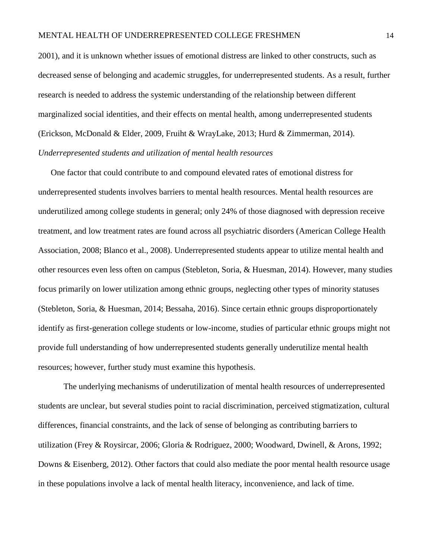2001), and it is unknown whether issues of emotional distress are linked to other constructs, such as decreased sense of belonging and academic struggles, for underrepresented students. As a result, further research is needed to address the systemic understanding of the relationship between different marginalized social identities, and their effects on mental health, among underrepresented students (Erickson, McDonald & Elder, 2009, Fruiht & WrayLake, 2013; Hurd & Zimmerman, 2014). *Underrepresented students and utilization of mental health resources*

One factor that could contribute to and compound elevated rates of emotional distress for underrepresented students involves barriers to mental health resources. Mental health resources are underutilized among college students in general; only 24% of those diagnosed with depression receive treatment, and low treatment rates are found across all psychiatric disorders (American College Health Association, 2008; Blanco et al., 2008). Underrepresented students appear to utilize mental health and other resources even less often on campus (Stebleton, Soria, & Huesman, 2014). However, many studies focus primarily on lower utilization among ethnic groups, neglecting other types of minority statuses (Stebleton, Soria, & Huesman, 2014; Bessaha, 2016). Since certain ethnic groups disproportionately identify as first-generation college students or low-income, studies of particular ethnic groups might not provide full understanding of how underrepresented students generally underutilize mental health resources; however, further study must examine this hypothesis.

The underlying mechanisms of underutilization of mental health resources of underrepresented students are unclear, but several studies point to racial discrimination, perceived stigmatization, cultural differences, financial constraints, and the lack of sense of belonging as contributing barriers to utilization (Frey & Roysircar, 2006; Gloria & Rodriguez, 2000; Woodward, Dwinell, & Arons, 1992; Downs & Eisenberg, 2012). Other factors that could also mediate the poor mental health resource usage in these populations involve a lack of mental health literacy, inconvenience, and lack of time.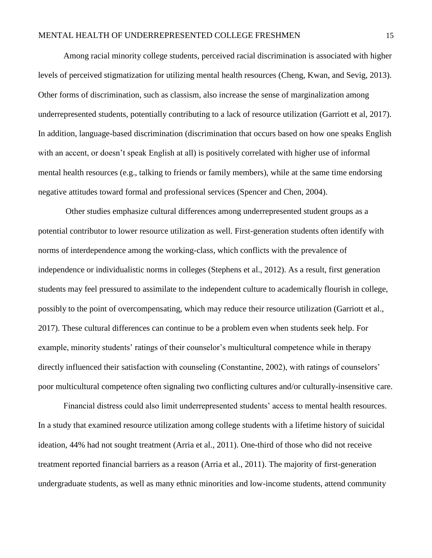Among racial minority college students, perceived racial discrimination is associated with higher levels of perceived stigmatization for utilizing mental health resources (Cheng, Kwan, and Sevig, 2013). Other forms of discrimination, such as classism, also increase the sense of marginalization among underrepresented students, potentially contributing to a lack of resource utilization (Garriott et al, 2017). In addition, language-based discrimination (discrimination that occurs based on how one speaks English with an accent, or doesn't speak English at all) is positively correlated with higher use of informal mental health resources (e.g., talking to friends or family members), while at the same time endorsing negative attitudes toward formal and professional services (Spencer and Chen, 2004).

Other studies emphasize cultural differences among underrepresented student groups as a potential contributor to lower resource utilization as well. First-generation students often identify with norms of interdependence among the working-class, which conflicts with the prevalence of independence or individualistic norms in colleges (Stephens et al., 2012). As a result, first generation students may feel pressured to assimilate to the independent culture to academically flourish in college, possibly to the point of overcompensating, which may reduce their resource utilization (Garriott et al., 2017). These cultural differences can continue to be a problem even when students seek help. For example, minority students' ratings of their counselor's multicultural competence while in therapy directly influenced their satisfaction with counseling (Constantine, 2002), with ratings of counselors' poor multicultural competence often signaling two conflicting cultures and/or culturally-insensitive care.

Financial distress could also limit underrepresented students' access to mental health resources. In a study that examined resource utilization among college students with a lifetime history of suicidal ideation, 44% had not sought treatment (Arria et al., 2011). One-third of those who did not receive treatment reported financial barriers as a reason (Arria et al., 2011). The majority of first-generation undergraduate students, as well as many ethnic minorities and low-income students, attend community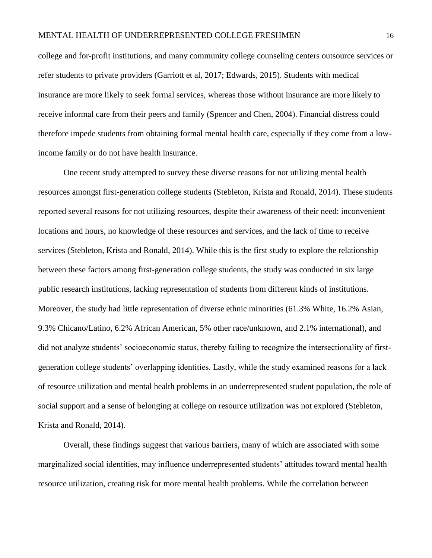college and for-profit institutions, and many community college counseling centers outsource services or refer students to private providers (Garriott et al, 2017; Edwards, 2015). Students with medical insurance are more likely to seek formal services, whereas those without insurance are more likely to receive informal care from their peers and family (Spencer and Chen, 2004). Financial distress could therefore impede students from obtaining formal mental health care, especially if they come from a lowincome family or do not have health insurance.

One recent study attempted to survey these diverse reasons for not utilizing mental health resources amongst first-generation college students (Stebleton, Krista and Ronald, 2014). These students reported several reasons for not utilizing resources, despite their awareness of their need: inconvenient locations and hours, no knowledge of these resources and services, and the lack of time to receive services (Stebleton, Krista and Ronald, 2014). While this is the first study to explore the relationship between these factors among first-generation college students, the study was conducted in six large public research institutions, lacking representation of students from different kinds of institutions. Moreover, the study had little representation of diverse ethnic minorities (61.3% White, 16.2% Asian, 9.3% Chicano/Latino, 6.2% African American, 5% other race/unknown, and 2.1% international), and did not analyze students' socioeconomic status, thereby failing to recognize the intersectionality of firstgeneration college students' overlapping identities. Lastly, while the study examined reasons for a lack of resource utilization and mental health problems in an underrepresented student population, the role of social support and a sense of belonging at college on resource utilization was not explored (Stebleton, Krista and Ronald, 2014).

Overall, these findings suggest that various barriers, many of which are associated with some marginalized social identities, may influence underrepresented students' attitudes toward mental health resource utilization, creating risk for more mental health problems. While the correlation between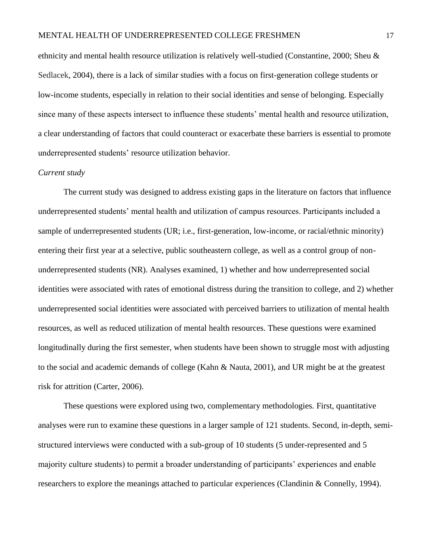### MENTAL HEALTH OF UNDERREPRESENTED COLLEGE FRESHMEN 17

ethnicity and mental health resource utilization is relatively well-studied (Constantine, 2000; Sheu & Sedlacek, 2004), there is a lack of similar studies with a focus on first-generation college students or low-income students, especially in relation to their social identities and sense of belonging. Especially since many of these aspects intersect to influence these students' mental health and resource utilization, a clear understanding of factors that could counteract or exacerbate these barriers is essential to promote underrepresented students' resource utilization behavior.

### *Current study*

The current study was designed to address existing gaps in the literature on factors that influence underrepresented students' mental health and utilization of campus resources. Participants included a sample of underrepresented students (UR; i.e., first-generation, low-income, or racial/ethnic minority) entering their first year at a selective, public southeastern college, as well as a control group of nonunderrepresented students (NR). Analyses examined, 1) whether and how underrepresented social identities were associated with rates of emotional distress during the transition to college, and 2) whether underrepresented social identities were associated with perceived barriers to utilization of mental health resources, as well as reduced utilization of mental health resources. These questions were examined longitudinally during the first semester, when students have been shown to struggle most with adjusting to the social and academic demands of college (Kahn & Nauta, 2001), and UR might be at the greatest risk for attrition (Carter, 2006).

These questions were explored using two, complementary methodologies. First, quantitative analyses were run to examine these questions in a larger sample of 121 students. Second, in-depth, semistructured interviews were conducted with a sub-group of 10 students (5 under-represented and 5 majority culture students) to permit a broader understanding of participants' experiences and enable researchers to explore the meanings attached to particular experiences (Clandinin & Connelly, 1994).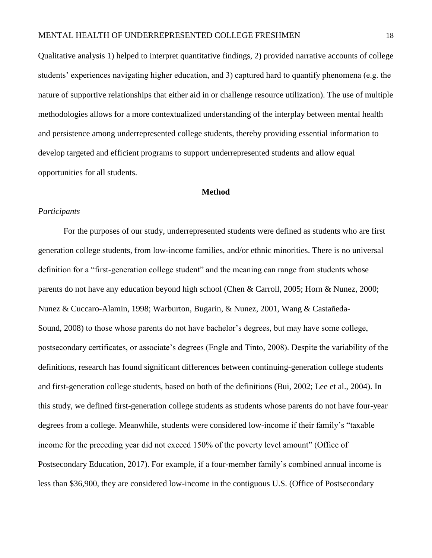Qualitative analysis 1) helped to interpret quantitative findings, 2) provided narrative accounts of college students' experiences navigating higher education, and 3) captured hard to quantify phenomena (e.g. the nature of supportive relationships that either aid in or challenge resource utilization). The use of multiple methodologies allows for a more contextualized understanding of the interplay between mental health and persistence among underrepresented college students, thereby providing essential information to develop targeted and efficient programs to support underrepresented students and allow equal opportunities for all students.

### **Method**

### *Participants*

For the purposes of our study, underrepresented students were defined as students who are first generation college students, from low-income families, and/or ethnic minorities. There is no universal definition for a "first-generation college student" and the meaning can range from students whose parents do not have any education beyond high school (Chen & Carroll, 2005; Horn & Nunez, 2000; Nunez & Cuccaro-Alamin, 1998; Warburton, Bugarin, & Nunez, 2001, Wang & Castañeda-Sound, [2008\)](http://onlinelibrary.wiley.com/doi/10.1002/joec.12049/full#joec12049-bib-0024) to those whose parents do not have bachelor's degrees, but may have some college, postsecondary certificates, or associate's degrees (Engle and Tinto, 2008). Despite the variability of the definitions, research has found significant differences between continuing-generation college students and first-generation college students, based on both of the definitions (Bui, 2002; Lee et al., 2004). In this study, we defined first-generation college students as students whose parents do not have four-year degrees from a college. Meanwhile, students were considered low-income if their family's "taxable income for the preceding year did not exceed 150% of the poverty level amount" (Office of Postsecondary Education, 2017). For example, if a four-member family's combined annual income is less than \$36,900, they are considered low-income in the contiguous U.S. (Office of Postsecondary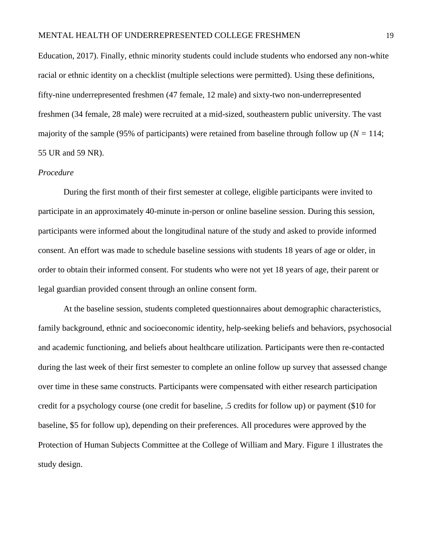Education, 2017). Finally, ethnic minority students could include students who endorsed any non-white racial or ethnic identity on a checklist (multiple selections were permitted). Using these definitions, fifty-nine underrepresented freshmen (47 female, 12 male) and sixty-two non-underrepresented freshmen (34 female, 28 male) were recruited at a mid-sized, southeastern public university. The vast majority of the sample (95% of participants) were retained from baseline through follow up (*N =* 114; 55 UR and 59 NR).

### *Procedure*

During the first month of their first semester at college, eligible participants were invited to participate in an approximately 40-minute in-person or online baseline session. During this session, participants were informed about the longitudinal nature of the study and asked to provide informed consent. An effort was made to schedule baseline sessions with students 18 years of age or older, in order to obtain their informed consent. For students who were not yet 18 years of age, their parent or legal guardian provided consent through an online consent form.

At the baseline session, students completed questionnaires about demographic characteristics, family background, ethnic and socioeconomic identity, help-seeking beliefs and behaviors, psychosocial and academic functioning, and beliefs about healthcare utilization. Participants were then re-contacted during the last week of their first semester to complete an online follow up survey that assessed change over time in these same constructs. Participants were compensated with either research participation credit for a psychology course (one credit for baseline, .5 credits for follow up) or payment (\$10 for baseline, \$5 for follow up), depending on their preferences. All procedures were approved by the Protection of Human Subjects Committee at the College of William and Mary. Figure 1 illustrates the study design.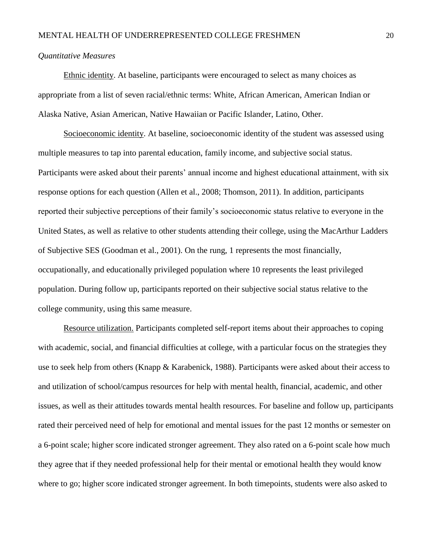### *Quantitative Measures*

Ethnic identity. At baseline, participants were encouraged to select as many choices as appropriate from a list of seven racial/ethnic terms: White, African American, American Indian or Alaska Native, Asian American, Native Hawaiian or Pacific Islander, Latino, Other.

Socioeconomic identity. At baseline, socioeconomic identity of the student was assessed using multiple measures to tap into parental education, family income, and subjective social status. Participants were asked about their parents' annual income and highest educational attainment, with six response options for each question (Allen et al., 2008; Thomson, 2011). In addition, participants reported their subjective perceptions of their family's socioeconomic status relative to everyone in the United States, as well as relative to other students attending their college, using the MacArthur Ladders of Subjective SES (Goodman et al., 2001). On the rung, 1 represents the most financially, occupationally, and educationally privileged population where 10 represents the least privileged population. During follow up, participants reported on their subjective social status relative to the college community, using this same measure.

Resource utilization. Participants completed self-report items about their approaches to coping with academic, social, and financial difficulties at college, with a particular focus on the strategies they use to seek help from others (Knapp & Karabenick, 1988). Participants were asked about their access to and utilization of school/campus resources for help with mental health, financial, academic, and other issues, as well as their attitudes towards mental health resources. For baseline and follow up, participants rated their perceived need of help for emotional and mental issues for the past 12 months or semester on a 6-point scale; higher score indicated stronger agreement. They also rated on a 6-point scale how much they agree that if they needed professional help for their mental or emotional health they would know where to go; higher score indicated stronger agreement. In both timepoints, students were also asked to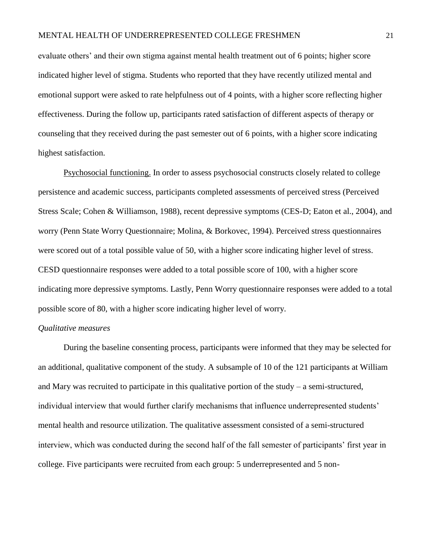### MENTAL HEALTH OF UNDERREPRESENTED COLLEGE FRESHMEN 21

evaluate others' and their own stigma against mental health treatment out of 6 points; higher score indicated higher level of stigma. Students who reported that they have recently utilized mental and emotional support were asked to rate helpfulness out of 4 points, with a higher score reflecting higher effectiveness. During the follow up, participants rated satisfaction of different aspects of therapy or counseling that they received during the past semester out of 6 points, with a higher score indicating highest satisfaction.

Psychosocial functioning. In order to assess psychosocial constructs closely related to college persistence and academic success, participants completed assessments of perceived stress (Perceived Stress Scale; Cohen & Williamson, 1988), recent depressive symptoms (CES-D; Eaton et al., 2004), and worry (Penn State Worry Questionnaire; Molina, & Borkovec, 1994). Perceived stress questionnaires were scored out of a total possible value of 50, with a higher score indicating higher level of stress. CESD questionnaire responses were added to a total possible score of 100, with a higher score indicating more depressive symptoms. Lastly, Penn Worry questionnaire responses were added to a total possible score of 80, with a higher score indicating higher level of worry.

### *Qualitative measures*

During the baseline consenting process, participants were informed that they may be selected for an additional, qualitative component of the study. A subsample of 10 of the 121 participants at William and Mary was recruited to participate in this qualitative portion of the study – a semi-structured, individual interview that would further clarify mechanisms that influence underrepresented students' mental health and resource utilization. The qualitative assessment consisted of a semi-structured interview, which was conducted during the second half of the fall semester of participants' first year in college. Five participants were recruited from each group: 5 underrepresented and 5 non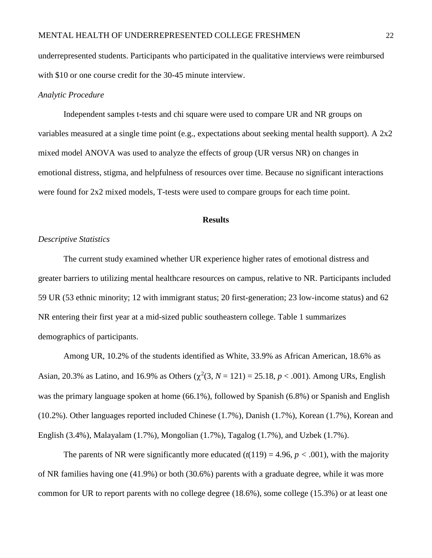underrepresented students. Participants who participated in the qualitative interviews were reimbursed with \$10 or one course credit for the 30-45 minute interview.

### *Analytic Procedure*

Independent samples t-tests and chi square were used to compare UR and NR groups on variables measured at a single time point (e.g., expectations about seeking mental health support). A 2x2 mixed model ANOVA was used to analyze the effects of group (UR versus NR) on changes in emotional distress, stigma, and helpfulness of resources over time. Because no significant interactions were found for 2x2 mixed models, T-tests were used to compare groups for each time point.

#### **Results**

### *Descriptive Statistics*

The current study examined whether UR experience higher rates of emotional distress and greater barriers to utilizing mental healthcare resources on campus, relative to NR. Participants included 59 UR (53 ethnic minority; 12 with immigrant status; 20 first-generation; 23 low-income status) and 62 NR entering their first year at a mid-sized public southeastern college. Table 1 summarizes demographics of participants.

Among UR, 10.2% of the students identified as White, 33.9% as African American, 18.6% as Asian, 20.3% as Latino, and 16.9% as Others  $(\chi^2(3, N = 121) = 25.18, p < .001)$ . Among URs, English was the primary language spoken at home (66.1%), followed by Spanish (6.8%) or Spanish and English (10.2%). Other languages reported included Chinese (1.7%), Danish (1.7%), Korean (1.7%), Korean and English (3.4%), Malayalam (1.7%), Mongolian (1.7%), Tagalog (1.7%), and Uzbek (1.7%).

The parents of NR were significantly more educated  $(t(119) = 4.96, p < .001)$ , with the majority of NR families having one (41.9%) or both (30.6%) parents with a graduate degree, while it was more common for UR to report parents with no college degree (18.6%), some college (15.3%) or at least one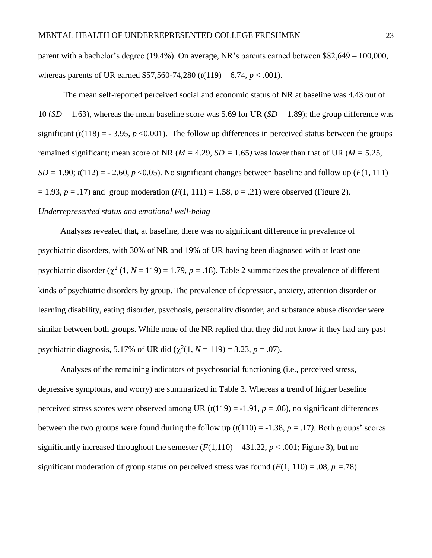parent with a bachelor's degree (19.4%). On average, NR's parents earned between \$82,649 – 100,000, whereas parents of UR earned  $$57,560-74,280$  ( $t(119) = 6.74$ ,  $p < .001$ ).

The mean self-reported perceived social and economic status of NR at baseline was 4.43 out of 10 (*SD =* 1.63), whereas the mean baseline score was 5.69 for UR (*SD =* 1.89); the group difference was significant  $(t(118) = -3.95, p < 0.001)$ . The follow up differences in perceived status between the groups remained significant; mean score of NR (*M =* 4.29*, SD =* 1.65*)* was lower than that of UR (*M =* 5.25,  $SD = 1.90$ ;  $t(112) = -2.60$ ,  $p \le 0.05$ ). No significant changes between baseline and follow up ( $F(1, 111)$ )  $= 1.93, p = .17$ ) and group moderation  $(F(1, 111) = 1.58, p = .21)$  were observed (Figure 2). *Underrepresented status and emotional well-being*

Analyses revealed that, at baseline, there was no significant difference in prevalence of psychiatric disorders, with 30% of NR and 19% of UR having been diagnosed with at least one psychiatric disorder  $(\chi^2 (1, N = 119) = 1.79, p = .18)$ . Table 2 summarizes the prevalence of different kinds of psychiatric disorders by group. The prevalence of depression, anxiety, attention disorder or learning disability, eating disorder, psychosis, personality disorder, and substance abuse disorder were similar between both groups. While none of the NR replied that they did not know if they had any past psychiatric diagnosis, 5.17% of UR did  $(\chi^2(1, N = 119) = 3.23, p = .07)$ .

Analyses of the remaining indicators of psychosocial functioning (i.e., perceived stress, depressive symptoms, and worry) are summarized in Table 3. Whereas a trend of higher baseline perceived stress scores were observed among UR  $(t(119) = -1.91, p = .06)$ , no significant differences between the two groups were found during the follow up  $(t(110) = -1.38, p = .17)$ . Both groups' scores significantly increased throughout the semester  $(F(1,110) = 431.22, p < .001$ ; Figure 3), but no significant moderation of group status on perceived stress was found  $(F(1, 110) = .08, p = .78)$ .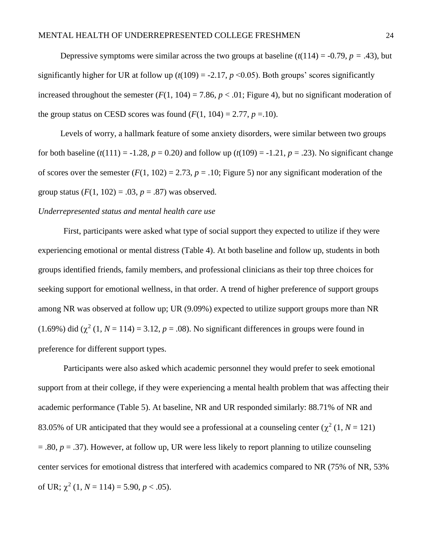Depressive symptoms were similar across the two groups at baseline  $(t(114) = -0.79, p = .43)$ , but significantly higher for UR at follow up  $(t(109) = -2.17, p < 0.05)$ . Both groups' scores significantly increased throughout the semester  $(F(1, 104) = 7.86, p < .01;$  Figure 4), but no significant moderation of the group status on CESD scores was found  $(F(1, 104) = 2.77, p = .10)$ .

Levels of worry, a hallmark feature of some anxiety disorders, were similar between two groups for both baseline  $(t(111) = -1.28, p = 0.20)$  and follow up  $(t(109) = -1.21, p = .23)$ . No significant change of scores over the semester  $(F(1, 102) = 2.73, p = .10;$  Figure 5) nor any significant moderation of the group status  $(F(1, 102) = .03, p = .87)$  was observed.

### *Underrepresented status and mental health care use*

First, participants were asked what type of social support they expected to utilize if they were experiencing emotional or mental distress (Table 4). At both baseline and follow up, students in both groups identified friends, family members, and professional clinicians as their top three choices for seeking support for emotional wellness, in that order. A trend of higher preference of support groups among NR was observed at follow up; UR (9.09%) expected to utilize support groups more than NR (1.69%) did ( $\chi^2$  (1, *N* = 114) = 3.12, *p* = .08). No significant differences in groups were found in preference for different support types.

Participants were also asked which academic personnel they would prefer to seek emotional support from at their college, if they were experiencing a mental health problem that was affecting their academic performance (Table 5). At baseline, NR and UR responded similarly: 88.71% of NR and 83.05% of UR anticipated that they would see a professional at a counseling center  $(\chi^2 (1, N = 121))$  $= 0.80, p = 0.37$ . However, at follow up, UR were less likely to report planning to utilize counseling center services for emotional distress that interfered with academics compared to NR (75% of NR, 53% of UR;  $\chi^2$  (1,  $N = 114$ ) = 5.90,  $p < .05$ ).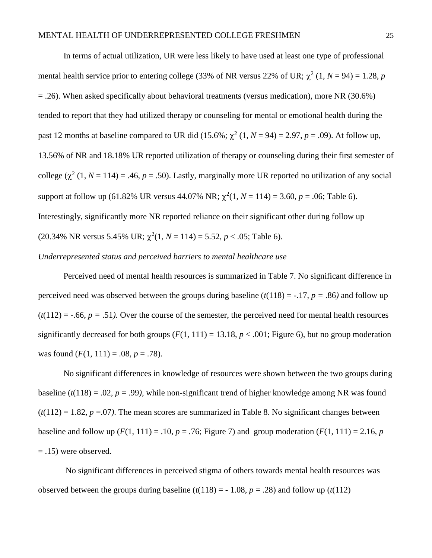In terms of actual utilization, UR were less likely to have used at least one type of professional mental health service prior to entering college (33% of NR versus 22% of UR;  $\chi^2$  (1, *N* = 94) = 1.28, *p* = .26). When asked specifically about behavioral treatments (versus medication), more NR (30.6%) tended to report that they had utilized therapy or counseling for mental or emotional health during the past 12 months at baseline compared to UR did (15.6%;  $\chi^2$  (1, *N* = 94) = 2.97, *p* = .09). At follow up, 13.56% of NR and 18.18% UR reported utilization of therapy or counseling during their first semester of college  $(\chi^2 (1, N = 114) = .46, p = .50)$ . Lastly, marginally more UR reported no utilization of any social support at follow up (61.82% UR versus 44.07% NR;  $\chi^2(1, N = 114) = 3.60, p = .06$ ; Table 6). Interestingly, significantly more NR reported reliance on their significant other during follow up  $(20.34\% \text{ NR} \text{ versus } 5.45\% \text{ UR}; \chi^2(1, N=114) = 5.52, p < .05; \text{ Table 6}).$ 

## *Underrepresented status and perceived barriers to mental healthcare use*

Perceived need of mental health resources is summarized in Table 7. No significant difference in perceived need was observed between the groups during baseline  $(t(118) = -.17, p = .86)$  and follow up  $(t(112) = -.66, p = .51)$ . Over the course of the semester, the perceived need for mental health resources significantly decreased for both groups  $(F(1, 111) = 13.18, p < .001$ ; Figure 6), but no group moderation was found  $(F(1, 111) = .08, p = .78)$ .

No significant differences in knowledge of resources were shown between the two groups during baseline  $(t(118) = .02, p = .99)$ , while non-significant trend of higher knowledge among NR was found  $(t(112) = 1.82, p = 0.07)$ . The mean scores are summarized in Table 8. No significant changes between baseline and follow up ( $F(1, 111) = .10$ ,  $p = .76$ ; Figure 7) and group moderation ( $F(1, 111) = 2.16$ ,  $p = .76$ = .15) were observed.

No significant differences in perceived stigma of others towards mental health resources was observed between the groups during baseline  $(t(118) = -1.08, p = .28)$  and follow up  $(t(112)$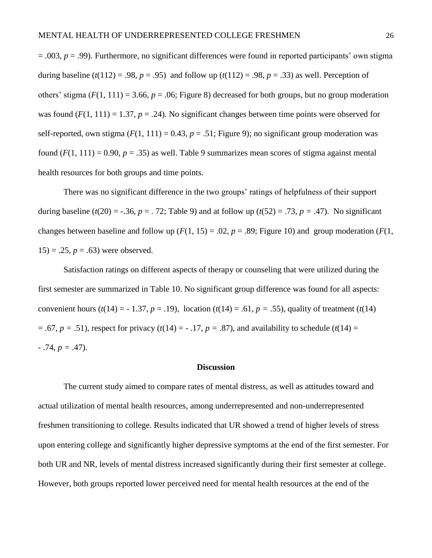= .003, *p* = .99). Furthermore, no significant differences were found in reported participants' own stigma during baseline  $(t(112) = .98, p = .95)$  and follow up  $(t(112) = .98, p = .33)$  as well. Perception of others' stigma  $(F(1, 111) = 3.66, p = .06$ ; Figure 8) decreased for both groups, but no group moderation was found  $(F(1, 111) = 1.37, p = .24)$ . No significant changes between time points were observed for self-reported, own stigma  $(F(1, 111) = 0.43, p = .51;$  Figure 9); no significant group moderation was found  $(F(1, 111) = 0.90, p = .35)$  as well. Table 9 summarizes mean scores of stigma against mental health resources for both groups and time points.

There was no significant difference in the two groups' ratings of helpfulness of their support during baseline ( $t(20) = -.36$ ,  $p = .72$ ; Table 9) and at follow up ( $t(52) = .73$ ,  $p = .47$ ). No significant changes between baseline and follow up  $(F(1, 15) = .02, p = .89)$ ; Figure 10) and group moderation  $(F(1,$  $15$ ) = .25, *p* = .63) were observed.

Satisfaction ratings on different aspects of therapy or counseling that were utilized during the first semester are summarized in Table 10. No significant group difference was found for all aspects: convenient hours ( $t(14) = -1.37$ ,  $p = .19$ ), location ( $t(14) = .61$ ,  $p = .55$ ), quality of treatment ( $t(14)$ )  $= .67, p = .51$ ), respect for privacy ( $t(14) = -.17, p = .87$ ), and availability to schedule ( $t(14) =$  $-74, p = .47$ ).

#### **Discussion**

The current study aimed to compare rates of mental distress, as well as attitudes toward and actual utilization of mental health resources, among underrepresented and non-underrepresented freshmen transitioning to college. Results indicated that UR showed a trend of higher levels of stress upon entering college and significantly higher depressive symptoms at the end of the first semester. For both UR and NR, levels of mental distress increased significantly during their first semester at college. However, both groups reported lower perceived need for mental health resources at the end of the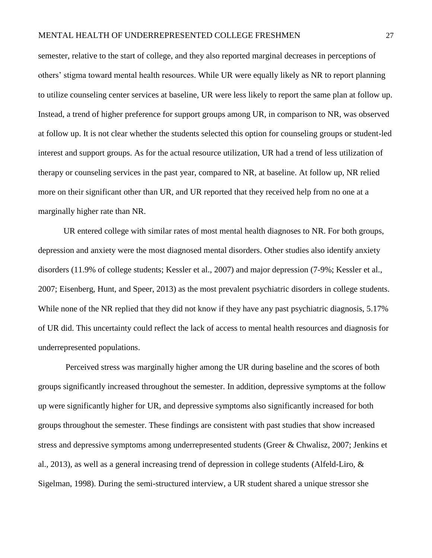semester, relative to the start of college, and they also reported marginal decreases in perceptions of others' stigma toward mental health resources. While UR were equally likely as NR to report planning to utilize counseling center services at baseline, UR were less likely to report the same plan at follow up. Instead, a trend of higher preference for support groups among UR, in comparison to NR, was observed at follow up. It is not clear whether the students selected this option for counseling groups or student-led interest and support groups. As for the actual resource utilization, UR had a trend of less utilization of therapy or counseling services in the past year, compared to NR, at baseline. At follow up, NR relied more on their significant other than UR, and UR reported that they received help from no one at a marginally higher rate than NR.

UR entered college with similar rates of most mental health diagnoses to NR. For both groups, depression and anxiety were the most diagnosed mental disorders. Other studies also identify anxiety disorders (11.9% of college students; Kessler et al., 2007) and major depression (7-9%; Kessler et al., 2007; Eisenberg, Hunt, and Speer, 2013) as the most prevalent psychiatric disorders in college students. While none of the NR replied that they did not know if they have any past psychiatric diagnosis, 5.17% of UR did. This uncertainty could reflect the lack of access to mental health resources and diagnosis for underrepresented populations.

Perceived stress was marginally higher among the UR during baseline and the scores of both groups significantly increased throughout the semester. In addition, depressive symptoms at the follow up were significantly higher for UR, and depressive symptoms also significantly increased for both groups throughout the semester. These findings are consistent with past studies that show increased stress and depressive symptoms among underrepresented students (Greer & Chwalisz, 2007; Jenkins et al., 2013), as well as a general increasing trend of depression in college students (Alfeld-Liro, & Sigelman, 1998). During the semi-structured interview, a UR student shared a unique stressor she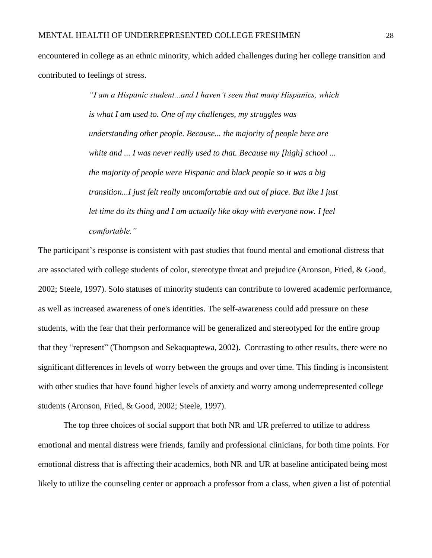encountered in college as an ethnic minority, which added challenges during her college transition and contributed to feelings of stress.

> *"I am a Hispanic student...and I haven't seen that many Hispanics, which is what I am used to. One of my challenges, my struggles was understanding other people. Because... the majority of people here are white and ... I was never really used to that. Because my [high] school ... the majority of people were Hispanic and black people so it was a big transition...I just felt really uncomfortable and out of place. But like I just*  let time do its thing and I am actually like okay with everyone now. I feel *comfortable."*

The participant's response is consistent with past studies that found mental and emotional distress that are associated with college students of color, stereotype threat and prejudice (Aronson, Fried, & Good, 2002; Steele, 1997). Solo statuses of minority students can contribute to lowered academic performance, as well as increased awareness of one's identities. The self-awareness could add pressure on these students, with the fear that their performance will be generalized and stereotyped for the entire group that they "represent" (Thompson and Sekaquaptewa, 2002). Contrasting to other results, there were no significant differences in levels of worry between the groups and over time. This finding is inconsistent with other studies that have found higher levels of anxiety and worry among underrepresented college students (Aronson, Fried, & Good, 2002; Steele, 1997).

The top three choices of social support that both NR and UR preferred to utilize to address emotional and mental distress were friends, family and professional clinicians, for both time points. For emotional distress that is affecting their academics, both NR and UR at baseline anticipated being most likely to utilize the counseling center or approach a professor from a class, when given a list of potential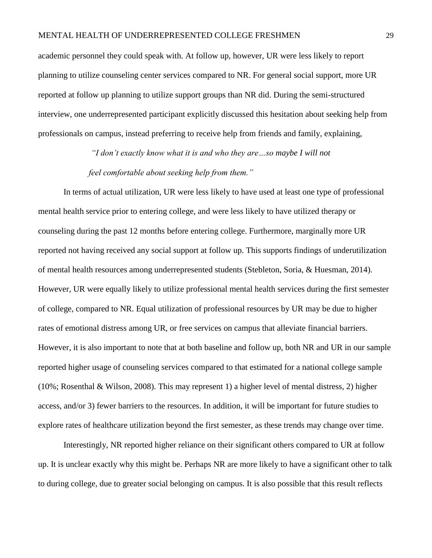academic personnel they could speak with. At follow up, however, UR were less likely to report planning to utilize counseling center services compared to NR. For general social support, more UR reported at follow up planning to utilize support groups than NR did. During the semi-structured interview, one underrepresented participant explicitly discussed this hesitation about seeking help from professionals on campus, instead preferring to receive help from friends and family, explaining,

> *"I don't exactly know what it is and who they are…so maybe I will not feel comfortable about seeking help from them."*

In terms of actual utilization, UR were less likely to have used at least one type of professional mental health service prior to entering college, and were less likely to have utilized therapy or counseling during the past 12 months before entering college. Furthermore, marginally more UR reported not having received any social support at follow up. This supports findings of underutilization of mental health resources among underrepresented students (Stebleton, Soria, & Huesman, 2014). However, UR were equally likely to utilize professional mental health services during the first semester of college, compared to NR. Equal utilization of professional resources by UR may be due to higher rates of emotional distress among UR, or free services on campus that alleviate financial barriers. However, it is also important to note that at both baseline and follow up, both NR and UR in our sample reported higher usage of counseling services compared to that estimated for a national college sample (10%; Rosenthal & Wilson, 2008). This may represent 1) a higher level of mental distress, 2) higher access, and/or 3) fewer barriers to the resources. In addition, it will be important for future studies to explore rates of healthcare utilization beyond the first semester, as these trends may change over time.

Interestingly, NR reported higher reliance on their significant others compared to UR at follow up. It is unclear exactly why this might be. Perhaps NR are more likely to have a significant other to talk to during college, due to greater social belonging on campus. It is also possible that this result reflects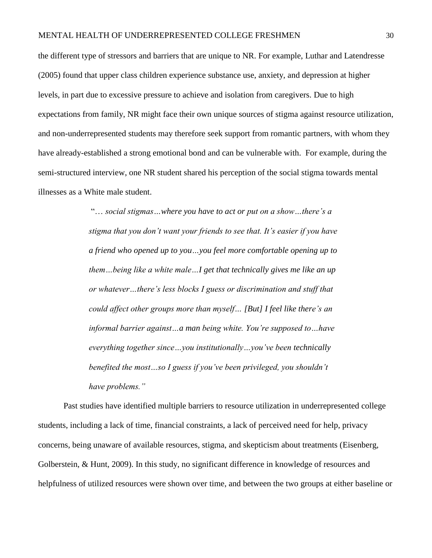the different type of stressors and barriers that are unique to NR. For example, Luthar and Latendresse (2005) found that upper class children experience substance use, anxiety, and depression at higher levels, in part due to excessive pressure to achieve and isolation from caregivers. Due to high expectations from family, NR might face their own unique sources of stigma against resource utilization, and non-underrepresented students may therefore seek support from romantic partners, with whom they have already-established a strong emotional bond and can be vulnerable with. For example, during the semi-structured interview, one NR student shared his perception of the social stigma towards mental illnesses as a White male student.

> "… *social stigmas…where you have to act or put on a show…there's a stigma that you don't want your friends to see that. It's easier if you have a friend who opened up to you…you feel more comfortable opening up to them…being like a white male…I get that technically gives me like an up or whatever…there's less blocks I guess or discrimination and stuff that could affect other groups more than myself… [But] I feel like there's an informal barrier against…a man being white. You're supposed to…have everything together since…you institutionally…you've been technically benefited the most…so I guess if you've been privileged, you shouldn't have problems."*

Past studies have identified multiple barriers to resource utilization in underrepresented college students, including a lack of time, financial constraints, a lack of perceived need for help, privacy concerns, being unaware of available resources, stigma, and skepticism about treatments (Eisenberg, Golberstein, & Hunt, 2009). In this study, no significant difference in knowledge of resources and helpfulness of utilized resources were shown over time, and between the two groups at either baseline or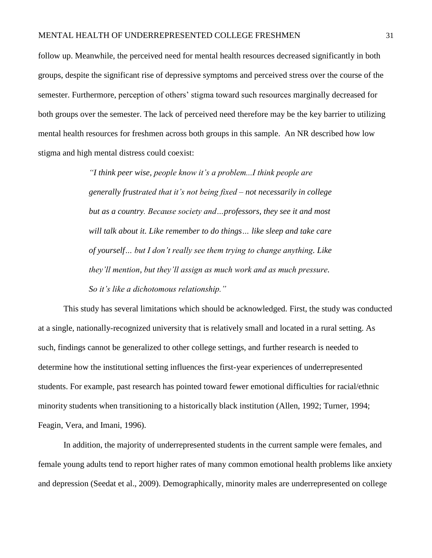follow up. Meanwhile, the perceived need for mental health resources decreased significantly in both groups, despite the significant rise of depressive symptoms and perceived stress over the course of the semester. Furthermore, perception of others' stigma toward such resources marginally decreased for both groups over the semester. The lack of perceived need therefore may be the key barrier to utilizing mental health resources for freshmen across both groups in this sample. An NR described how low stigma and high mental distress could coexist:

> *"I think peer wise, people know it's a problem...I think people are generally frustrated that it's not being fixed – not necessarily in college but as a country. Because society and…professors, they see it and most will talk about it. Like remember to do things… like sleep and take care of yourself… but I don't really see them trying to change anything. Like they'll mention, but they'll assign as much work and as much pressure. So it's like a dichotomous relationship."*

This study has several limitations which should be acknowledged. First, the study was conducted at a single, nationally-recognized university that is relatively small and located in a rural setting. As such, findings cannot be generalized to other college settings, and further research is needed to determine how the institutional setting influences the first-year experiences of underrepresented students. For example, past research has pointed toward fewer emotional difficulties for racial/ethnic minority students when transitioning to a historically black institution (Allen, 1992; Turner, 1994; Feagin, Vera, and Imani, 1996).

In addition, the majority of underrepresented students in the current sample were females, and female young adults tend to report higher rates of many common emotional health problems like anxiety and depression (Seedat et al., 2009). Demographically, minority males are underrepresented on college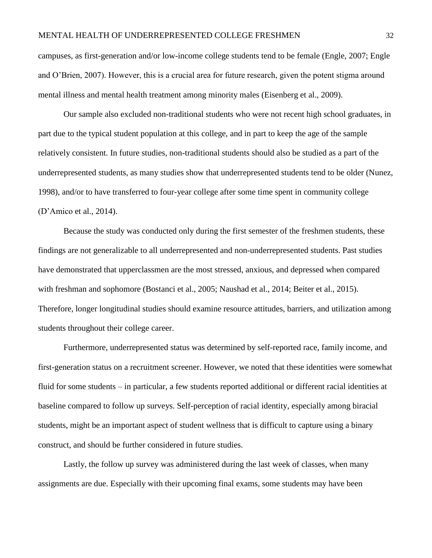campuses, as first-generation and/or low-income college students tend to be female (Engle, 2007; Engle and O'Brien, 2007). However, this is a crucial area for future research, given the potent stigma around mental illness and mental health treatment among minority males (Eisenberg et al., 2009).

Our sample also excluded non-traditional students who were not recent high school graduates, in part due to the typical student population at this college, and in part to keep the age of the sample relatively consistent. In future studies, non-traditional students should also be studied as a part of the underrepresented students, as many studies show that underrepresented students tend to be older (Nunez, 1998), and/or to have transferred to four-year college after some time spent in community college (D'Amico et al., 2014).

Because the study was conducted only during the first semester of the freshmen students, these findings are not generalizable to all underrepresented and non-underrepresented students. Past studies have demonstrated that upperclassmen are the most stressed, anxious, and depressed when compared with freshman and sophomore (Bostanci et al., 2005; Naushad et al., 2014; Beiter et al., 2015). Therefore, longer longitudinal studies should examine resource attitudes, barriers, and utilization among students throughout their college career.

Furthermore, underrepresented status was determined by self-reported race, family income, and first-generation status on a recruitment screener. However, we noted that these identities were somewhat fluid for some students – in particular, a few students reported additional or different racial identities at baseline compared to follow up surveys. Self-perception of racial identity, especially among biracial students, might be an important aspect of student wellness that is difficult to capture using a binary construct, and should be further considered in future studies.

Lastly, the follow up survey was administered during the last week of classes, when many assignments are due. Especially with their upcoming final exams, some students may have been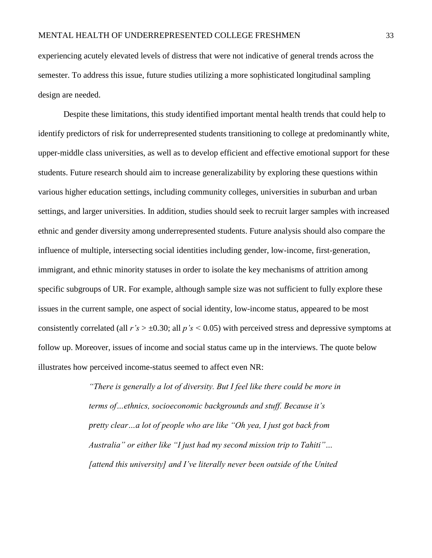experiencing acutely elevated levels of distress that were not indicative of general trends across the semester. To address this issue, future studies utilizing a more sophisticated longitudinal sampling design are needed.

Despite these limitations, this study identified important mental health trends that could help to identify predictors of risk for underrepresented students transitioning to college at predominantly white, upper-middle class universities, as well as to develop efficient and effective emotional support for these students. Future research should aim to increase generalizability by exploring these questions within various higher education settings, including community colleges, universities in suburban and urban settings, and larger universities. In addition, studies should seek to recruit larger samples with increased ethnic and gender diversity among underrepresented students. Future analysis should also compare the influence of multiple, intersecting social identities including gender, low-income, first-generation, immigrant, and ethnic minority statuses in order to isolate the key mechanisms of attrition among specific subgroups of UR. For example, although sample size was not sufficient to fully explore these issues in the current sample, one aspect of social identity, low-income status, appeared to be most consistently correlated (all  $r's > \pm 0.30$ ; all  $p's < 0.05$ ) with perceived stress and depressive symptoms at follow up. Moreover, issues of income and social status came up in the interviews. The quote below illustrates how perceived income-status seemed to affect even NR:

> *"There is generally a lot of diversity. But I feel like there could be more in terms of…ethnics, socioeconomic backgrounds and stuff. Because it's pretty clear…a lot of people who are like "Oh yea, I just got back from Australia" or either like "I just had my second mission trip to Tahiti"… [attend this university] and I've literally never been outside of the United*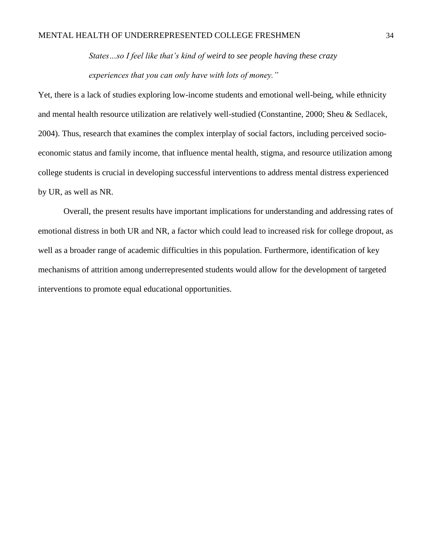### MENTAL HEALTH OF UNDERREPRESENTED COLLEGE FRESHMEN 34

*States…so I feel like that's kind of weird to see people having these crazy experiences that you can only have with lots of money."* 

Yet, there is a lack of studies exploring low-income students and emotional well-being, while ethnicity and mental health resource utilization are relatively well-studied (Constantine, 2000; Sheu & Sedlacek, 2004). Thus, research that examines the complex interplay of social factors, including perceived socioeconomic status and family income, that influence mental health, stigma, and resource utilization among college students is crucial in developing successful interventions to address mental distress experienced by UR, as well as NR.

Overall, the present results have important implications for understanding and addressing rates of emotional distress in both UR and NR, a factor which could lead to increased risk for college dropout, as well as a broader range of academic difficulties in this population. Furthermore, identification of key mechanisms of attrition among underrepresented students would allow for the development of targeted interventions to promote equal educational opportunities.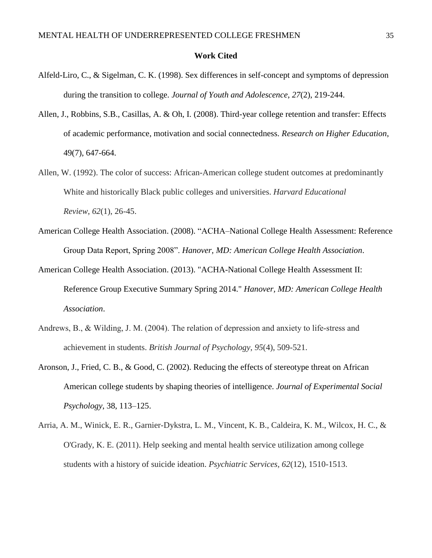#### **Work Cited**

- Alfeld-Liro, C., & Sigelman, C. K. (1998). Sex differences in self-concept and symptoms of depression during the transition to college. *Journal of Youth and Adolescence*, *27*(2), 219-244.
- Allen, J., Robbins, S.B., Casillas, A. & Oh, I. (2008). Third-year college retention and transfer: Effects of academic performance, motivation and social connectedness. *Research on Higher Education*, 49(7), 647-664.
- Allen, W. (1992). The color of success: African-American college student outcomes at predominantly White and historically Black public colleges and universities. *Harvard Educational Review*, *62*(1), 26-45.
- American College Health Association. (2008). "ACHA–National College Health Assessment: Reference Group Data Report, Spring 2008". *Hanover, MD: American College Health Association*.
- American College Health Association. (2013). "ACHA-National College Health Assessment II: Reference Group Executive Summary Spring 2014." *Hanover, MD: American College Health Association*.
- Andrews, B., & Wilding, J. M. (2004). The relation of depression and anxiety to life-stress and achievement in students. *British Journal of Psychology*, *95*(4), 509-521.
- Aronson, J., Fried, C. B., & Good, C. (2002). Reducing the effects of stereotype threat on African American college students by shaping theories of intelligence. *Journal of Experimental Social Psychology*, 38, 113–125.
- Arria, A. M., Winick, E. R., Garnier-Dykstra, L. M., Vincent, K. B., Caldeira, K. M., Wilcox, H. C., & O'Grady, K. E. (2011). Help seeking and mental health service utilization among college students with a history of suicide ideation. *Psychiatric Services*, *62*(12), 1510-1513.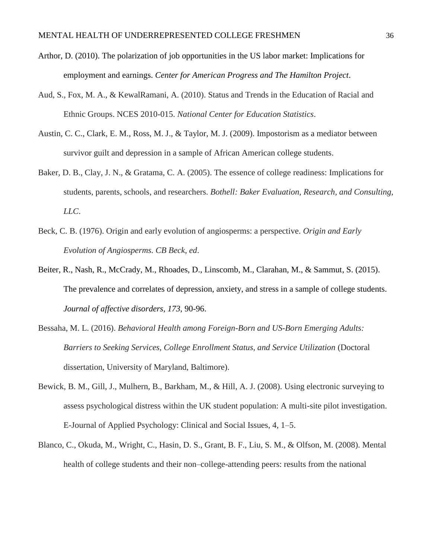- Arthor, D. (2010). The polarization of job opportunities in the US labor market: Implications for employment and earnings. *Center for American Progress and The Hamilton Project*.
- Aud, S., Fox, M. A., & KewalRamani, A. (2010). Status and Trends in the Education of Racial and Ethnic Groups. NCES 2010-015. *National Center for Education Statistics*.
- Austin, C. C., Clark, E. M., Ross, M. J., & Taylor, M. J. (2009). Impostorism as a mediator between survivor guilt and depression in a sample of African American college students.
- Baker, D. B., Clay, J. N., & Gratama, C. A. (2005). The essence of college readiness: Implications for students, parents, schools, and researchers. *Bothell: Baker Evaluation, Research, and Consulting, LLC*.
- Beck, C. B. (1976). Origin and early evolution of angiosperms: a perspective. *Origin and Early Evolution of Angiosperms. CB Beck, ed*.
- Beiter, R., Nash, R., McCrady, M., Rhoades, D., Linscomb, M., Clarahan, M., & Sammut, S. (2015). The prevalence and correlates of depression, anxiety, and stress in a sample of college students. *Journal of affective disorders*, *173*, 90-96.
- Bessaha, M. L. (2016). *Behavioral Health among Foreign-Born and US-Born Emerging Adults: Barriers to Seeking Services, College Enrollment Status, and Service Utilization* (Doctoral dissertation, University of Maryland, Baltimore).
- Bewick, B. M., Gill, J., Mulhern, B., Barkham, M., & Hill, A. J. (2008). Using electronic surveying to assess psychological distress within the UK student population: A multi-site pilot investigation. E-Journal of Applied Psychology: Clinical and Social Issues, 4, 1–5.
- Blanco, C., Okuda, M., Wright, C., Hasin, D. S., Grant, B. F., Liu, S. M., & Olfson, M. (2008). Mental health of college students and their non–college-attending peers: results from the national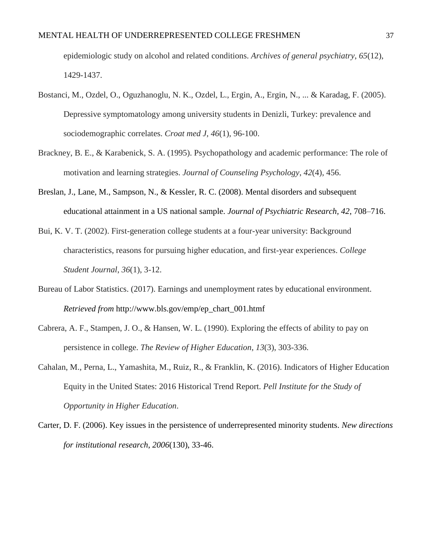epidemiologic study on alcohol and related conditions. *Archives of general psychiatry*, *65*(12), 1429-1437.

- Bostanci, M., Ozdel, O., Oguzhanoglu, N. K., Ozdel, L., Ergin, A., Ergin, N., ... & Karadag, F. (2005). Depressive symptomatology among university students in Denizli, Turkey: prevalence and sociodemographic correlates. *Croat med J*, *46*(1), 96-100.
- Brackney, B. E., & Karabenick, S. A. (1995). Psychopathology and academic performance: The role of motivation and learning strategies. *Journal of Counseling Psychology*, *42*(4), 456.
- Breslan, J., Lane, M., Sampson, N., & Kessler, R. C. (2008). Mental disorders and subsequent educational attainment in a US national sample. *Journal of Psychiatric Research, 42*, 708–716.
- Bui, K. V. T. (2002). First-generation college students at a four-year university: Background characteristics, reasons for pursuing higher education, and first-year experiences. *College Student Journal*, *36*(1), 3-12.
- Bureau of Labor Statistics. (2017). Earnings and unemployment rates by educational environment. *Retrieved from* [http://www.bls.gov/emp/ep\\_chart\\_001.htmf](http://www.bls.gov/emp/ep_chart_001.htm)
- Cabrera, A. F., Stampen, J. O., & Hansen, W. L. (1990). Exploring the effects of ability to pay on persistence in college. *The Review of Higher Education*, *13*(3), 303-336.
- Cahalan, M., Perna, L., Yamashita, M., Ruiz, R., & Franklin, K. (2016). Indicators of Higher Education Equity in the United States: 2016 Historical Trend Report. *Pell Institute for the Study of Opportunity in Higher Education*.
- Carter, D. F. (2006). Key issues in the persistence of underrepresented minority students. *New directions for institutional research*, *2006*(130), 33-46.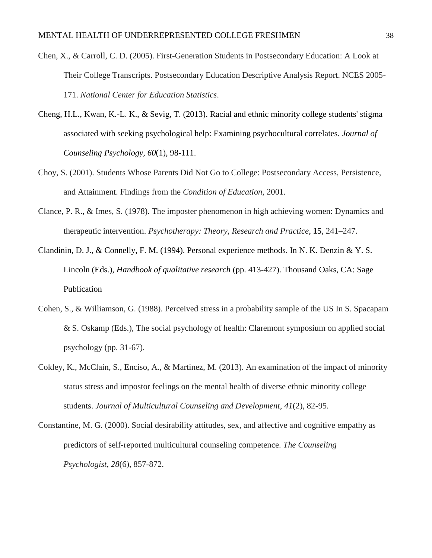- Chen, X., & Carroll, C. D. (2005). First-Generation Students in Postsecondary Education: A Look at Their College Transcripts. Postsecondary Education Descriptive Analysis Report. NCES 2005- 171. *National Center for Education Statistics*.
- Cheng, H.L., Kwan, K.-L. K., & Sevig, T. (2013). Racial and ethnic minority college students' stigma associated with seeking psychological help: Examining psychocultural correlates. *Journal of Counseling Psychology, 60*(1), 98-111.
- Choy, S. (2001). Students Whose Parents Did Not Go to College: Postsecondary Access, Persistence, and Attainment. Findings from the *Condition of Education*, 2001.
- Clance, P. R., & Imes, S. (1978). The imposter phenomenon in high achieving women: Dynamics and therapeutic intervention. *Psychotherapy: Theory, Research and Practice*, **15**, 241–247.
- Clandinin, D. J., & Connelly, F. M. (1994). Personal experience methods. In N. K. Denzin & Y. S. Lincoln (Eds.), *Handbook of qualitative research* (pp. 413-427). Thousand Oaks, CA: Sage Publication
- Cohen, S., & Williamson, G. (1988). Perceived stress in a probability sample of the US In S. Spacapam & S. Oskamp (Eds.), The social psychology of health: Claremont symposium on applied social psychology (pp. 31-67).
- Cokley, K., McClain, S., Enciso, A., & Martinez, M. (2013). An examination of the impact of minority status stress and impostor feelings on the mental health of diverse ethnic minority college students. *Journal of Multicultural Counseling and Development*, *41*(2), 82-95.
- Constantine, M. G. (2000). Social desirability attitudes, sex, and affective and cognitive empathy as predictors of self-reported multicultural counseling competence. *The Counseling Psychologist*, *28*(6), 857-872.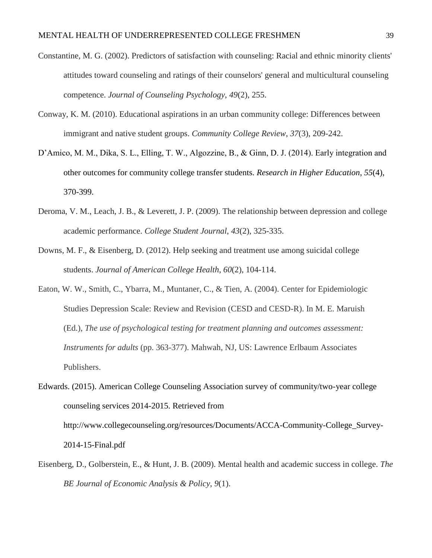- Constantine, M. G. (2002). Predictors of satisfaction with counseling: Racial and ethnic minority clients' attitudes toward counseling and ratings of their counselors' general and multicultural counseling competence. *Journal of Counseling Psychology*, *49*(2), 255.
- Conway, K. M. (2010). Educational aspirations in an urban community college: Differences between immigrant and native student groups. *Community College Review*, *37*(3), 209-242.
- D'Amico, M. M., Dika, S. L., Elling, T. W., Algozzine, B., & Ginn, D. J. (2014). Early integration and other outcomes for community college transfer students. *Research in Higher Education*, *55*(4), 370-399.
- Deroma, V. M., Leach, J. B., & Leverett, J. P. (2009). The relationship between depression and college academic performance. *College Student Journal*, *43*(2), 325-335.
- Downs, M. F., & Eisenberg, D. (2012). Help seeking and treatment use among suicidal college students. *Journal of American College Health*, *60*(2), 104-114.
- Eaton, W. W., Smith, C., Ybarra, M., Muntaner, C., & Tien, A. (2004). Center for Epidemiologic Studies Depression Scale: Review and Revision (CESD and CESD-R). In M. E. Maruish (Ed.), *The use of psychological testing for treatment planning and outcomes assessment: Instruments for adults* (pp. 363-377). Mahwah, NJ, US: Lawrence Erlbaum Associates Publishers.

Edwards. (2015). American College Counseling Association survey of community/two-year college counseling services 2014-2015. Retrieved from http://www.collegecounseling.org/resources/Documents/ACCA-Community-College\_Survey-2014-15-Final.pdf

Eisenberg, D., Golberstein, E., & Hunt, J. B. (2009). Mental health and academic success in college. *The BE Journal of Economic Analysis & Policy*, *9*(1).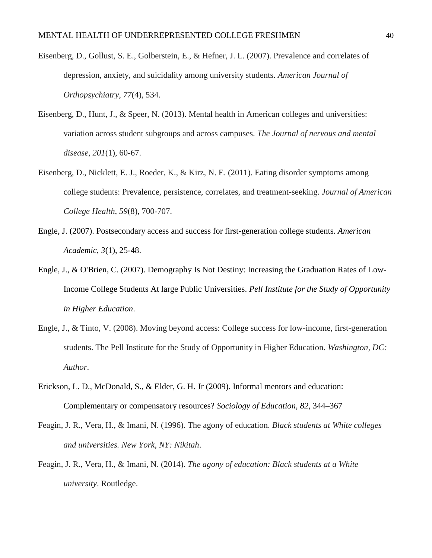- Eisenberg, D., Gollust, S. E., Golberstein, E., & Hefner, J. L. (2007). Prevalence and correlates of depression, anxiety, and suicidality among university students. *American Journal of Orthopsychiatry*, *77*(4), 534.
- Eisenberg, D., Hunt, J., & Speer, N. (2013). Mental health in American colleges and universities: variation across student subgroups and across campuses. *The Journal of nervous and mental disease*, *201*(1), 60-67.
- Eisenberg, D., Nicklett, E. J., Roeder, K., & Kirz, N. E. (2011). Eating disorder symptoms among college students: Prevalence, persistence, correlates, and treatment-seeking. *Journal of American College Health*, *59*(8), 700-707.
- Engle, J. (2007). Postsecondary access and success for first-generation college students. *American Academic*, *3*(1), 25-48.
- Engle, J., & O'Brien, C. (2007). Demography Is Not Destiny: Increasing the Graduation Rates of Low-Income College Students At large Public Universities. *Pell Institute for the Study of Opportunity in Higher Education*.
- Engle, J., & Tinto, V. (2008). Moving beyond access: College success for low-income, first-generation students. The Pell Institute for the Study of Opportunity in Higher Education. *Washington, DC: Author*.
- Erickson, L. D., McDonald, S., & Elder, G. H. Jr (2009). Informal mentors and education: Complementary or compensatory resources? *Sociology of Education, 82*, 344–367
- Feagin, J. R., Vera, H., & Imani, N. (1996). The agony of education. *Black students at White colleges and universities. New York, NY: Nikitah*.
- Feagin, J. R., Vera, H., & Imani, N. (2014). *The agony of education: Black students at a White university*. Routledge.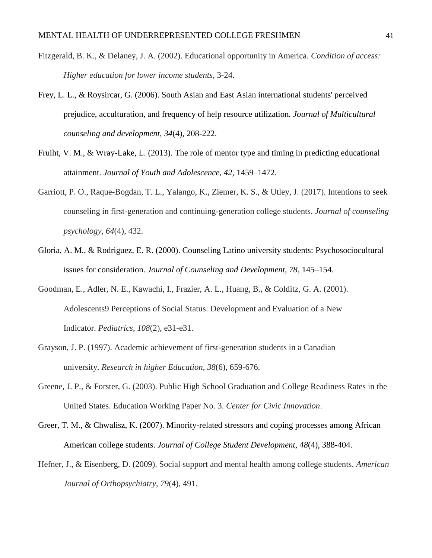- Fitzgerald, B. K., & Delaney, J. A. (2002). Educational opportunity in America. *Condition of access: Higher education for lower income students*, 3-24.
- Frey, L. L., & Roysircar, G. (2006). South Asian and East Asian international students' perceived prejudice, acculturation, and frequency of help resource utilization. *Journal of Multicultural counseling and development*, *34*(4), 208-222.
- Fruiht, V. M., & Wray-Lake, L. (2013). The role of mentor type and timing in predicting educational attainment. *Journal of Youth and Adolescence, 42,* 1459–1472.
- Garriott, P. O., Raque-Bogdan, T. L., Yalango, K., Ziemer, K. S., & Utley, J. (2017). Intentions to seek counseling in first-generation and continuing-generation college students. *Journal of counseling psychology*, *64*(4), 432.
- Gloria, A. M., & Rodriguez, E. R. (2000). Counseling Latino university students: Psychosociocultural issues for consideration. *Journal of Counseling and Development, 78*, 145–154.
- Goodman, E., Adler, N. E., Kawachi, I., Frazier, A. L., Huang, B., & Colditz, G. A. (2001). Adolescents9 Perceptions of Social Status: Development and Evaluation of a New Indicator. *Pediatrics*, *108*(2), e31-e31.
- Grayson, J. P. (1997). Academic achievement of first-generation students in a Canadian university. *Research in higher Education*, *38*(6), 659-676.
- Greene, J. P., & Forster, G. (2003). Public High School Graduation and College Readiness Rates in the United States. Education Working Paper No. 3. *Center for Civic Innovation*.
- Greer, T. M., & Chwalisz, K. (2007). Minority-related stressors and coping processes among African American college students. *Journal of College Student Development*, *48*(4), 388-404.
- Hefner, J., & Eisenberg, D. (2009). Social support and mental health among college students. *American Journal of Orthopsychiatry*, *79*(4), 491.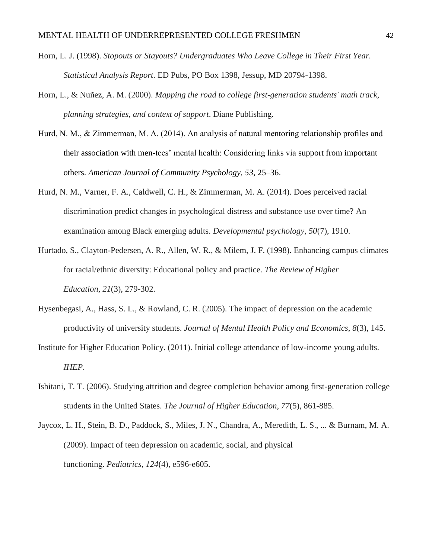- Horn, L. J. (1998). *Stopouts or Stayouts? Undergraduates Who Leave College in Their First Year. Statistical Analysis Report*. ED Pubs, PO Box 1398, Jessup, MD 20794-1398.
- Horn, L., & Nuñez, A. M. (2000). *Mapping the road to college first-generation students' math track, planning strategies, and context of support*. Diane Publishing.
- Hurd, N. M., & Zimmerman, M. A. (2014). An analysis of natural mentoring relationship profiles and their association with men-tees' mental health: Considering links via support from important others. *American Journal of Community Psychology, 53*, 25–36.
- Hurd, N. M., Varner, F. A., Caldwell, C. H., & Zimmerman, M. A. (2014). Does perceived racial discrimination predict changes in psychological distress and substance use over time? An examination among Black emerging adults. *Developmental psychology*, *50*(7), 1910.
- Hurtado, S., Clayton-Pedersen, A. R., Allen, W. R., & Milem, J. F. (1998). Enhancing campus climates for racial/ethnic diversity: Educational policy and practice. *The Review of Higher Education*, *21*(3), 279-302.
- Hysenbegasi, A., Hass, S. L., & Rowland, C. R. (2005). The impact of depression on the academic productivity of university students. *Journal of Mental Health Policy and Economics*, *8*(3), 145.
- Institute for Higher Education Policy. (2011). Initial college attendance of low-income young adults. *IHEP*.
- Ishitani, T. T. (2006). Studying attrition and degree completion behavior among first-generation college students in the United States. *The Journal of Higher Education*, *77*(5), 861-885.
- Jaycox, L. H., Stein, B. D., Paddock, S., Miles, J. N., Chandra, A., Meredith, L. S., ... & Burnam, M. A. (2009). Impact of teen depression on academic, social, and physical functioning. *Pediatrics*, *124*(4), e596-e605.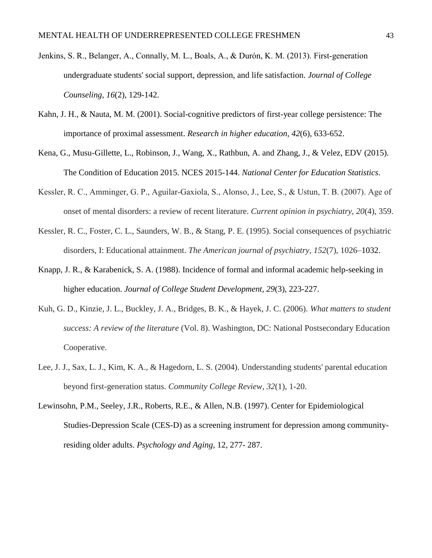- Jenkins, S. R., Belanger, A., Connally, M. L., Boals, A., & Durón, K. M. (2013). First‐generation undergraduate students' social support, depression, and life satisfaction. *Journal of College Counseling*, *16*(2), 129-142.
- Kahn, J. H., & Nauta, M. M. (2001). Social-cognitive predictors of first-year college persistence: The importance of proximal assessment. *Research in higher education*, *42*(6), 633-652.
- Kena, G., Musu-Gillette, L., Robinson, J., Wang, X., Rathbun, A. and Zhang, J., & Velez, EDV (2015). The Condition of Education 2015. NCES 2015-144. *National Center for Education Statistics*.
- Kessler, R. C., Amminger, G. P., Aguilar‐Gaxiola, S., Alonso, J., Lee, S., & Ustun, T. B. (2007). Age of onset of mental disorders: a review of recent literature. *Current opinion in psychiatry*, *20*(4), 359.
- Kessler, R. C., Foster, C. L., Saunders, W. B., & Stang, P. E. (1995). Social consequences of psychiatric disorders, I: Educational attainment. *The American journal of psychiatry*, *152*(7), 1026–1032.
- Knapp, J. R., & Karabenick, S. A. (1988). Incidence of formal and informal academic help-seeking in higher education. *Journal of College Student Development, 29*(3), 223-227.
- Kuh, G. D., Kinzie, J. L., Buckley, J. A., Bridges, B. K., & Hayek, J. C. (2006). *What matters to student success: A review of the literature* (Vol. 8). Washington, DC: National Postsecondary Education Cooperative.
- Lee, J. J., Sax, L. J., Kim, K. A., & Hagedorn, L. S. (2004). Understanding students' parental education beyond first-generation status. *Community College Review*, *32*(1), 1-20.
- Lewinsohn, P.M., Seeley, J.R., Roberts, R.E., & Allen, N.B. (1997). Center for Epidemiological Studies-Depression Scale (CES-D) as a screening instrument for depression among communityresiding older adults. *Psychology and Aging,* 12, 277- 287.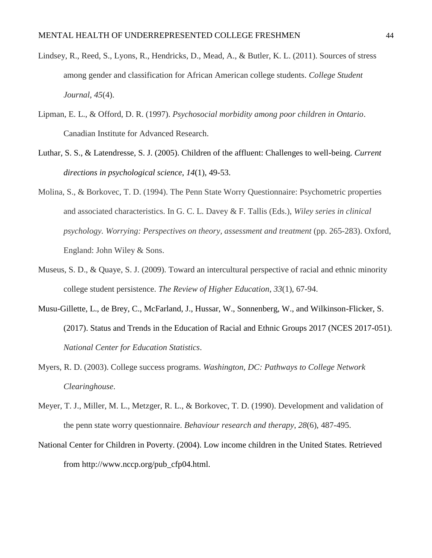- Lindsey, R., Reed, S., Lyons, R., Hendricks, D., Mead, A., & Butler, K. L. (2011). Sources of stress among gender and classification for African American college students. *College Student Journal*, *45*(4).
- Lipman, E. L., & Offord, D. R. (1997). *Psychosocial morbidity among poor children in Ontario*. Canadian Institute for Advanced Research.
- Luthar, S. S., & Latendresse, S. J. (2005). Children of the affluent: Challenges to well-being. *Current directions in psychological science*, *14*(1), 49-53.
- Molina, S., & Borkovec, T. D. (1994). The Penn State Worry Questionnaire: Psychometric properties and associated characteristics. In G. C. L. Davey & F. Tallis (Eds.), *Wiley series in clinical psychology. Worrying: Perspectives on theory, assessment and treatment* (pp. 265-283). Oxford, England: John Wiley & Sons.
- Museus, S. D., & Quaye, S. J. (2009). Toward an intercultural perspective of racial and ethnic minority college student persistence. *The Review of Higher Education*, *33*(1), 67-94.
- Musu-Gillette, L., de Brey, C., McFarland, J., Hussar, W., Sonnenberg, W., and Wilkinson-Flicker, S. (2017). Status and Trends in the Education of Racial and Ethnic Groups 2017 (NCES 2017-051). *National Center for Education Statistics*.
- Myers, R. D. (2003). College success programs. *Washington, DC: Pathways to College Network Clearinghouse*.
- Meyer, T. J., Miller, M. L., Metzger, R. L., & Borkovec, T. D. (1990). Development and validation of the penn state worry questionnaire. *Behaviour research and therapy*, *28*(6), 487-495.
- National Center for Children in Poverty. (2004). Low income children in the United States. Retrieved from http://www.nccp.org/pub\_cfp04.html.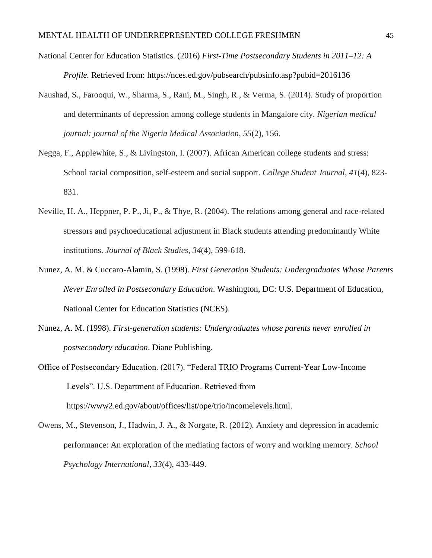- National Center for Education Statistics. (2016) *First-Time Postsecondary Students in 2011–12: A Profile.* Retrieved from:<https://nces.ed.gov/pubsearch/pubsinfo.asp?pubid=2016136>
- Naushad, S., Farooqui, W., Sharma, S., Rani, M., Singh, R., & Verma, S. (2014). Study of proportion and determinants of depression among college students in Mangalore city. *Nigerian medical journal: journal of the Nigeria Medical Association*, *55*(2), 156.
- Negga, F., Applewhite, S., & Livingston, I. (2007). African American college students and stress: School racial composition, self-esteem and social support. *College Student Journal*, *41*(4), 823- 831.
- Neville, H. A., Heppner, P. P., Ji, P., & Thye, R. (2004). The relations among general and race-related stressors and psychoeducational adjustment in Black students attending predominantly White institutions. *Journal of Black Studies*, *34*(4), 599-618.
- Nunez, A. M. & Cuccaro-Alamin, S. (1998). *First Generation Students: Undergraduates Whose Parents Never Enrolled in Postsecondary Education*. Washington, DC: U.S. Department of Education, National Center for Education Statistics (NCES).
- Nunez, A. M. (1998). *First-generation students: Undergraduates whose parents never enrolled in postsecondary education*. Diane Publishing.
- Office of Postsecondary Education. (2017). "Federal TRIO Programs Current-Year Low-Income Levels". U.S. Department of Education. Retrieved from [https://www2.ed.gov/about/offices/list/ope/trio/incomelevels.html.](https://www2.ed.gov/about/offices/list/ope/trio/incomelevels.html)
- Owens, M., Stevenson, J., Hadwin, J. A., & Norgate, R. (2012). Anxiety and depression in academic performance: An exploration of the mediating factors of worry and working memory. *School Psychology International*, *33*(4), 433-449.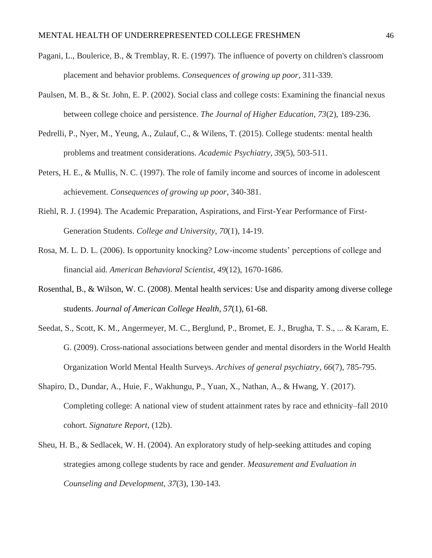- Pagani, L., Boulerice, B., & Tremblay, R. E. (1997). The influence of poverty on children's classroom placement and behavior problems. *Consequences of growing up poor*, 311-339.
- Paulsen, M. B., & St. John, E. P. (2002). Social class and college costs: Examining the financial nexus between college choice and persistence. *The Journal of Higher Education*, *73*(2), 189-236.
- Pedrelli, P., Nyer, M., Yeung, A., Zulauf, C., & Wilens, T. (2015). College students: mental health problems and treatment considerations. *Academic Psychiatry*, *39*(5), 503-511.
- Peters, H. E., & Mullis, N. C. (1997). The role of family income and sources of income in adolescent achievement. *Consequences of growing up poor*, 340-381.
- Riehl, R. J. (1994). The Academic Preparation, Aspirations, and First-Year Performance of First-Generation Students. *College and University*, *70*(1), 14-19.
- Rosa, M. L. D. L. (2006). Is opportunity knocking? Low-income students' perceptions of college and financial aid. *American Behavioral Scientist*, *49*(12), 1670-1686.
- Rosenthal, B., & Wilson, W. C. (2008). Mental health services: Use and disparity among diverse college students. *Journal of American College Health*, *57*(1), 61-68.
- Seedat, S., Scott, K. M., Angermeyer, M. C., Berglund, P., Bromet, E. J., Brugha, T. S., ... & Karam, E. G. (2009). Cross-national associations between gender and mental disorders in the World Health Organization World Mental Health Surveys. *Archives of general psychiatry*, *66*(7), 785-795.
- Shapiro, D., Dundar, A., Huie, F., Wakhungu, P., Yuan, X., Nathan, A., & Hwang, Y. (2017). Completing college: A national view of student attainment rates by race and ethnicity–fall 2010 cohort. *Signature Report*, (12b).
- Sheu, H. B., & Sedlacek, W. H. (2004). An exploratory study of help-seeking attitudes and coping strategies among college students by race and gender. *Measurement and Evaluation in Counseling and Development*, *37*(3), 130-143.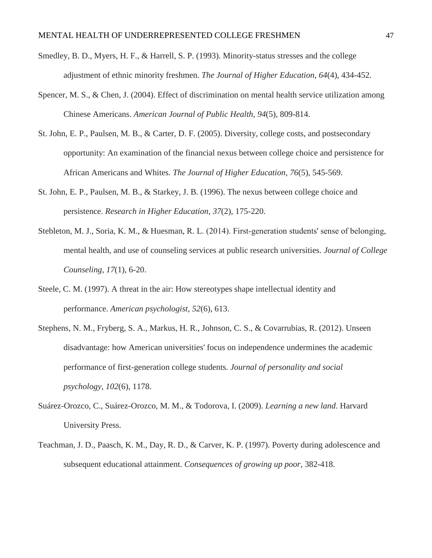- Smedley, B. D., Myers, H. F., & Harrell, S. P. (1993). Minority-status stresses and the college adjustment of ethnic minority freshmen. *The Journal of Higher Education*, *64*(4), 434-452.
- Spencer, M. S., & Chen, J. (2004). Effect of discrimination on mental health service utilization among Chinese Americans. *American Journal of Public Health*, *94*(5), 809-814.
- St. John, E. P., Paulsen, M. B., & Carter, D. F. (2005). Diversity, college costs, and postsecondary opportunity: An examination of the financial nexus between college choice and persistence for African Americans and Whites. *The Journal of Higher Education*, *76*(5), 545-569.
- St. John, E. P., Paulsen, M. B., & Starkey, J. B. (1996). The nexus between college choice and persistence. *Research in Higher Education*, *37*(2), 175-220.
- Stebleton, M. J., Soria, K. M., & Huesman, R. L. (2014). First‐generation students' sense of belonging, mental health, and use of counseling services at public research universities. *Journal of College Counseling*, *17*(1), 6-20.
- Steele, C. M. (1997). A threat in the air: How stereotypes shape intellectual identity and performance. *American psychologist*, *52*(6), 613.
- Stephens, N. M., Fryberg, S. A., Markus, H. R., Johnson, C. S., & Covarrubias, R. (2012). Unseen disadvantage: how American universities' focus on independence undermines the academic performance of first-generation college students. *Journal of personality and social psychology*, *102*(6), 1178.
- Suárez-Orozco, C., Suárez-Orozco, M. M., & Todorova, I. (2009). *Learning a new land*. Harvard University Press.
- Teachman, J. D., Paasch, K. M., Day, R. D., & Carver, K. P. (1997). Poverty during adolescence and subsequent educational attainment. *Consequences of growing up poor*, 382-418.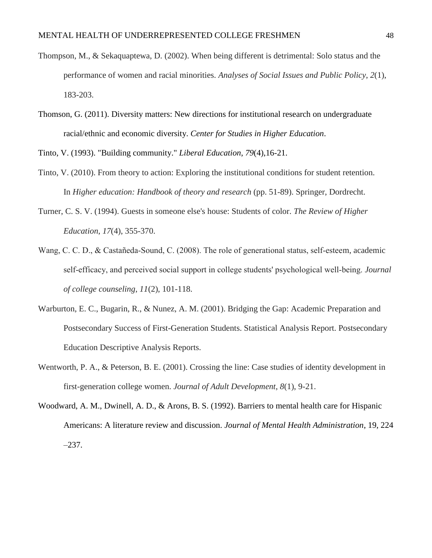- Thompson, M., & Sekaquaptewa, D. (2002). When being different is detrimental: Solo status and the performance of women and racial minorities. *Analyses of Social Issues and Public Policy*, *2*(1), 183-203.
- Thomson, G. (2011). Diversity matters: New directions for institutional research on undergraduate racial/ethnic and economic diversity. *Center for Studies in Higher Education*.

Tinto, V. (1993). "Building community." *Liberal Education*, *79*(4),16-21.

- Tinto, V. (2010). From theory to action: Exploring the institutional conditions for student retention. In *Higher education: Handbook of theory and research* (pp. 51-89). Springer, Dordrecht.
- Turner, C. S. V. (1994). Guests in someone else's house: Students of color. *The Review of Higher Education*, *17*(4), 355-370.
- Wang, C. C. D., & Castañeda-Sound, C. (2008). The role of generational status, self-esteem, academic self‐efficacy, and perceived social support in college students' psychological well‐being. *Journal of college counseling*, *11*(2), 101-118.
- Warburton, E. C., Bugarin, R., & Nunez, A. M. (2001). Bridging the Gap: Academic Preparation and Postsecondary Success of First-Generation Students. Statistical Analysis Report. Postsecondary Education Descriptive Analysis Reports.
- Wentworth, P. A., & Peterson, B. E. (2001). Crossing the line: Case studies of identity development in first-generation college women. *Journal of Adult Development*, *8*(1), 9-21.
- Woodward, A. M., Dwinell, A. D., & Arons, B. S. (1992). Barriers to mental health care for Hispanic Americans: A literature review and discussion. *Journal of Mental Health Administration*, 19, 224 –237.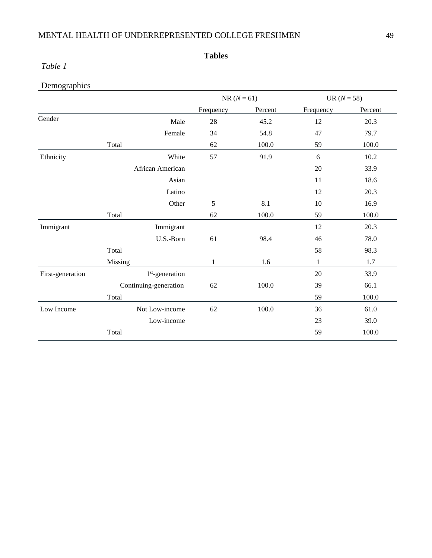## MENTAL HEALTH OF UNDERREPRESENTED COLLEGE FRESHMEN 49

## **Tables**

## *Table 1*

## Demographics

|                  |                       | $NR (N = 61)$ |         | UR $(N = 58)$ |         |
|------------------|-----------------------|---------------|---------|---------------|---------|
|                  |                       | Frequency     | Percent | Frequency     | Percent |
| Gender           | Male                  | $28\,$        | 45.2    | 12            | 20.3    |
|                  | Female                | 34            | 54.8    | 47            | 79.7    |
|                  | Total                 | 62            | 100.0   | 59            | 100.0   |
| Ethnicity        | White                 | 57            | 91.9    | 6             | 10.2    |
|                  | African American      |               |         | $20\,$        | 33.9    |
|                  | Asian                 |               |         | 11            | 18.6    |
|                  | Latino                |               |         | 12            | 20.3    |
|                  | Other                 | 5             | 8.1     | 10            | 16.9    |
|                  | Total                 | 62            | 100.0   | 59            | 100.0   |
| Immigrant        | Immigrant             |               |         | 12            | 20.3    |
|                  | U.S.-Born             | 61            | 98.4    | 46            | 78.0    |
|                  | Total                 |               |         | 58            | 98.3    |
|                  | Missing               | 1             | 1.6     | $\mathbf{1}$  | 1.7     |
| First-generation | $1st$ -generation     |               |         | 20            | 33.9    |
|                  | Continuing-generation | 62            | 100.0   | 39            | 66.1    |
|                  | Total                 |               |         | 59            | 100.0   |
| Low Income       | Not Low-income        | 62            | 100.0   | 36            | 61.0    |
|                  | Low-income            |               |         | 23            | 39.0    |
|                  | Total                 |               |         | 59            | 100.0   |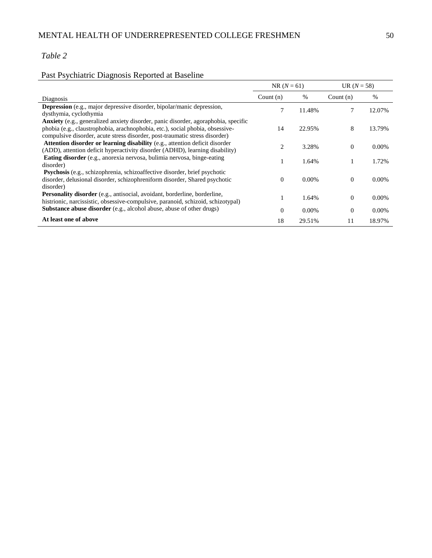## Past Psychiatric Diagnosis Reported at Baseline

|                                                                                                                                                                                                                                                           | $NR (N = 61)$  |          | UR $(N = 58)$ |          |  |
|-----------------------------------------------------------------------------------------------------------------------------------------------------------------------------------------------------------------------------------------------------------|----------------|----------|---------------|----------|--|
| Diagnosis                                                                                                                                                                                                                                                 | Count $(n)$    | $\%$     | Count $(n)$   | %        |  |
| Depression (e.g., major depressive disorder, bipolar/manic depression,<br>dysthymia, cyclothymia                                                                                                                                                          | 7              | 11.48%   | 7             | 12.07%   |  |
| <b>Anxiety</b> (e.g., generalized anxiety disorder, panic disorder, agoraphobia, specific<br>phobia (e.g., claustrophobia, arachnophobia, etc.), social phobia, obsessive-<br>compulsive disorder, acute stress disorder, post-traumatic stress disorder) | 14             | 22.95%   | 8             | 13.79%   |  |
| Attention disorder or learning disability (e.g., attention deficit disorder<br>(ADD), attention deficit hyperactivity disorder (ADHD), learning disability)                                                                                               | $\overline{c}$ | 3.28%    | $\mathbf{0}$  | $0.00\%$ |  |
| <b>Eating disorder</b> (e.g., anorexia nervosa, bulimia nervosa, binge-eating<br>disorder)                                                                                                                                                                |                | 1.64%    |               | 1.72%    |  |
| Psychosis (e.g., schizophrenia, schizoaffective disorder, brief psychotic<br>disorder, delusional disorder, schizophreniform disorder, Shared psychotic<br>disorder)                                                                                      | $\Omega$       | $0.00\%$ | $\mathbf{0}$  | $0.00\%$ |  |
| <b>Personality disorder</b> (e.g., antisocial, avoidant, borderline, borderline,<br>histrionic, narcissistic, obsessive-compulsive, paranoid, schizoid, schizotypal)                                                                                      |                | 1.64%    | $\mathbf{0}$  | $0.00\%$ |  |
| Substance abuse disorder (e.g., alcohol abuse, abuse of other drugs)                                                                                                                                                                                      | $\Omega$       | $0.00\%$ | $\mathbf{0}$  | $0.00\%$ |  |
| At least one of above                                                                                                                                                                                                                                     | 18             | 29.51%   | 11            | 18.97%   |  |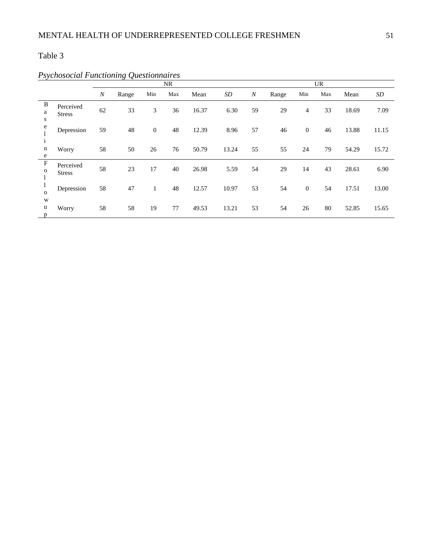|                         |                            |                  | ິ     |              | <b>NR</b> |       |       | <b>UR</b>        |       |                  |     |       |       |  |
|-------------------------|----------------------------|------------------|-------|--------------|-----------|-------|-------|------------------|-------|------------------|-----|-------|-------|--|
|                         |                            | $\boldsymbol{N}$ | Range | Min          | Max       | Mean  | SD    | $\boldsymbol{N}$ | Range | Min              | Max | Mean  | SD    |  |
| B<br>a<br>S             | Perceived<br><b>Stress</b> | 62               | 33    | 3            | 36        | 16.37 | 6.30  | 59               | 29    | $\overline{4}$   | 33  | 18.69 | 7.09  |  |
| e<br>$\mathbf{1}$       | Depression                 | 59               | 48    | $\mathbf{0}$ | 48        | 12.39 | 8.96  | 57               | 46    | $\boldsymbol{0}$ | 46  | 13.88 | 11.15 |  |
| n<br>e                  | Worry                      | 58               | 50    | 26           | 76        | 50.79 | 13.24 | 55               | 55    | 24               | 79  | 54.29 | 15.72 |  |
| $_{\rm F}$<br>0         | Perceived<br><b>Stress</b> | 58               | 23    | 17           | 40        | 26.98 | 5.59  | 54               | 29    | 14               | 43  | 28.61 | 6.90  |  |
| Τ.<br>$\mathbf{O}$<br>W | Depression                 | 58               | 47    | 1            | 48        | 12.57 | 10.97 | 53               | 54    | $\boldsymbol{0}$ | 54  | 17.51 | 13.00 |  |
| u<br>p                  | Worry                      | 58               | 58    | 19           | 77        | 49.53 | 13.21 | 53               | 54    | 26               | 80  | 52.85 | 15.65 |  |

## *Psychosocial Functioning Questionnaires*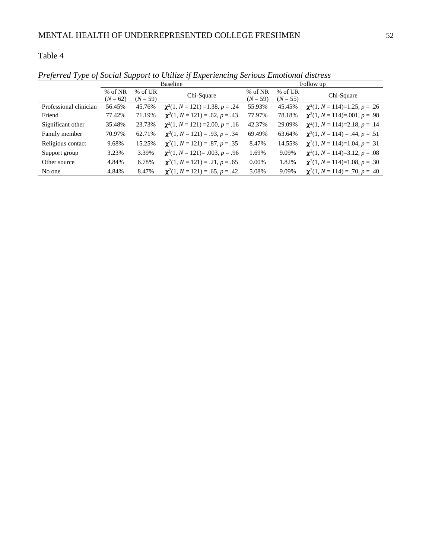|                        |            |            | <b>Baseline</b>                         | Follow up  |            |                                     |  |  |  |
|------------------------|------------|------------|-----------------------------------------|------------|------------|-------------------------------------|--|--|--|
|                        | % of NR    | % of UR    | Chi-Square                              | % of NR    | $%$ of UR  | Chi-Square                          |  |  |  |
|                        | $(N = 62)$ | $(N = 59)$ |                                         | $(N = 59)$ | $(N = 55)$ |                                     |  |  |  |
| Professional clinician | 56.45%     | 45.76%     | $\chi^2(1, N = 121) = 1.38, p = .24$    | 55.93%     | 45.45%     | $\chi^2(1, N=114)=1.25, p=.26$      |  |  |  |
| Friend                 | 77.42%     | 71.19%     | $\chi^2(1, N = 121) = .62, p = .43$     | 77.97%     | 78.18%     | $\chi^2(1, N=114)=0.001, p=.98$     |  |  |  |
| Significant other      | 35.48%     | 23.73%     | $\chi^2(1, N = 121) = 2.00, p = .16$    | 42.37%     | 29.09%     | $\chi^2(1, N=114)=2.18, p=.14$      |  |  |  |
| Family member          | 70.97%     | 62.71%     | $\chi^2(1, N = 121) = .93, p = .34$     | 69.49%     | 63.64%     | $\chi^2(1, N = 114) = .44, p = .51$ |  |  |  |
| Religious contact      | 9.68%      | 15.25%     | $\chi^2(1, N = 121) = .87, p = .35$     | 8.47%      | 14.55%     | $\chi^2(1, N=114)=1.04, p=.31$      |  |  |  |
| Support group          | 3.23%      | 3.39%      | $\chi^2(1, N = 121) = .003$ , $p = .96$ | 1.69%      | 9.09%      | $\chi^2(1, N=114)=3.12, p=.08$      |  |  |  |
| Other source           | 4.84%      | 6.78%      | $\chi^2(1, N = 121) = .21, p = .65$     | $0.00\%$   | 1.82%      | $\chi^2(1, N=114)=1.08, p=.30$      |  |  |  |
| No one                 | 4.84%      | 8.47%      | $\chi^2(1, N = 121) = .65, p = .42$     | 5.08%      | 9.09%      | $\chi^2(1, N = 114) = .70, p = .40$ |  |  |  |

*Preferred Type of Social Support to Utilize if Experiencing Serious Emotional distress*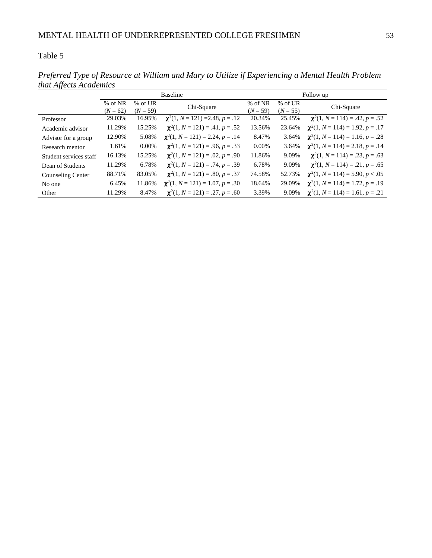|                          |            |            | <b>Baseline</b>                      | Follow up  |            |                                      |  |  |  |  |
|--------------------------|------------|------------|--------------------------------------|------------|------------|--------------------------------------|--|--|--|--|
|                          | $%$ of NR  | $%$ of UR  | Chi-Square                           | % of NR    | % of UR    | Chi-Square                           |  |  |  |  |
|                          | $(N = 62)$ | $(N = 59)$ |                                      | $(N = 59)$ | $(N = 55)$ |                                      |  |  |  |  |
| Professor                | 29.03%     | 16.95%     | $\chi^2(1, N = 121) = 2.48, p = .12$ | 20.34%     | 25.45%     | $\chi^2(1, N = 114) = .42, p = .52$  |  |  |  |  |
| Academic advisor         | 11.29%     | 15.25%     | $\chi^2(1, N = 121) = .41, p = .52$  | 13.56%     | 23.64%     | $\chi^2(1, N = 114) = 1.92, p = .17$ |  |  |  |  |
| Advisor for a group      | 12.90%     | 5.08%      | $\chi^2(1, N = 121) = 2.24, p = .14$ | 8.47%      | 3.64%      | $\chi^2(1, N = 114) = 1.16, p = .28$ |  |  |  |  |
| Research mentor          | 1.61%      | $0.00\%$   | $\chi^2(1, N = 121) = .96, p = .33$  | $0.00\%$   | 3.64%      | $\chi^2(1, N = 114) = 2.18, p = .14$ |  |  |  |  |
| Student services staff   | 16.13%     | 15.25%     | $\chi^2(1, N = 121) = .02, p = .90$  | 11.86%     | 9.09%      | $\chi^2(1, N = 114) = .23, p = .63$  |  |  |  |  |
| Dean of Students         | 11.29%     | 6.78%      | $\chi^2(1, N = 121) = .74, p = .39$  | 6.78%      | 9.09%      | $\chi^2(1, N = 114) = .21, p = .65$  |  |  |  |  |
| <b>Counseling Center</b> | 88.71%     | 83.05%     | $\chi^2(1, N = 121) = .80, p = .37$  | 74.58%     | 52.73%     | $\chi^2(1, N = 114) = 5.90, p < .05$ |  |  |  |  |
| No one                   | 6.45%      | 11.86%     | $\chi^2(1, N = 121) = 1.07, p = .30$ | 18.64%     | 29.09%     | $\chi^2(1, N = 114) = 1.72, p = .19$ |  |  |  |  |
| Other                    | 11.29%     | 8.47%      | $\chi^2(1, N = 121) = .27, p = .60$  | 3.39%      | 9.09%      | $\chi^2(1, N = 114) = 1.61, p = .21$ |  |  |  |  |

*Preferred Type of Resource at William and Mary to Utilize if Experiencing a Mental Health Problem that Affects Academics*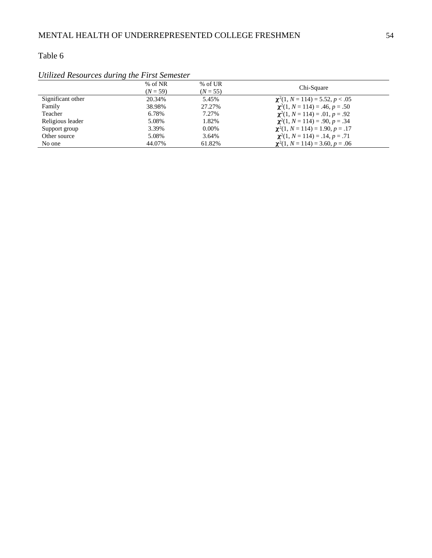|                   | $%$ of NR  | $%$ of UR  | Chi-Square                           |
|-------------------|------------|------------|--------------------------------------|
|                   | $(N = 59)$ | $(N = 55)$ |                                      |
| Significant other | 20.34%     | 5.45%      | $\chi^2(1, N = 114) = 5.52, p < .05$ |
| Family            | 38.98%     | 27.27%     | $\chi^2(1, N = 114) = .46, p = .50$  |
| Teacher           | 6.78%      | 7.27%      | $\chi^2(1, N = 114) = .01, p = .92$  |
| Religious leader  | 5.08%      | 1.82%      | $\chi^2(1, N = 114) = .90, p = .34$  |
| Support group     | 3.39%      | $0.00\%$   | $\chi^2(1, N = 114) = 1.90, p = .17$ |
| Other source      | 5.08%      | 3.64%      | $\chi^2(1, N = 114) = .14, p = .71$  |
| No one            | 44.07%     | 61.82%     | $\chi^2(1, N = 114) = 3.60, p = .06$ |

### *Utilized Resources during the First Semester*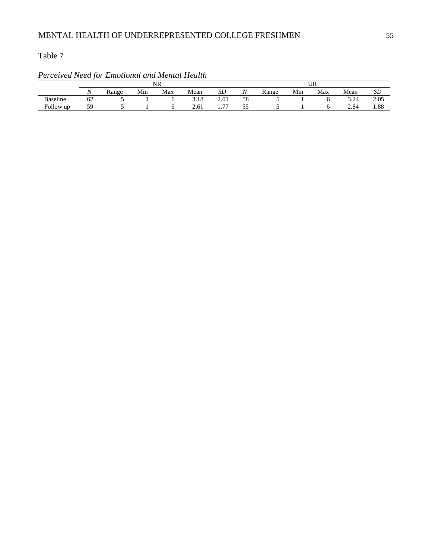|                 |    |       |     | NR  |      | UR                  |                   |       |     |     |      |      |
|-----------------|----|-------|-----|-----|------|---------------------|-------------------|-------|-----|-----|------|------|
|                 |    | Range | Min | Max | Mean | SD                  | $\mathbf{v}$<br>N | Range | Min | Max | Mean | SD   |
| <b>Baseline</b> | 62 |       |     |     | 3.18 | 2.01                | 58                |       |     |     | 3.24 | 2.05 |
| Follow up       | ۲C |       |     |     | 2.61 | $\overline{a}$<br>. | ັ້                |       |     |     | 2.84 | 1.88 |

## *Perceived Need for Emotional and Mental Health*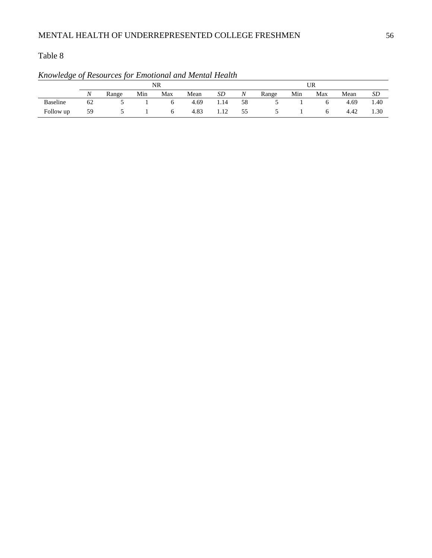|           |    |       |     | NR  |      | UR   |                  |       |     |     |      |      |
|-----------|----|-------|-----|-----|------|------|------------------|-------|-----|-----|------|------|
|           | Ν  | Range | Min | Max | Mean | SD   | $\boldsymbol{N}$ | Range | Min | Max | Mean | SD   |
| Baseline  | 62 |       |     |     | 4.69 | 1.14 | 58               |       |     |     | 4.69 | 1.40 |
| Follow up | 59 |       |     |     | 4.83 | 1.12 | 55               |       |     |     | 4.42 | 1.30 |

# *Knowledge of Resources for Emotional and Mental Health*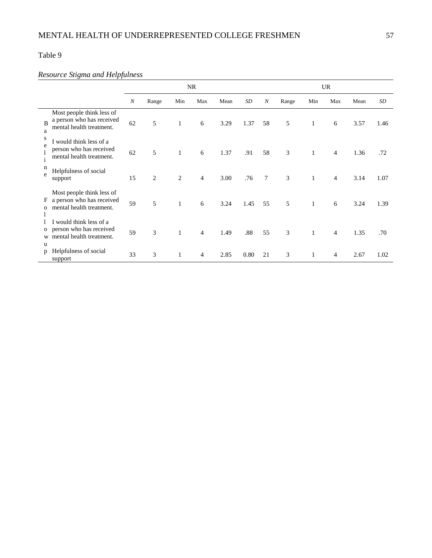## *Resource Stigma and Helpfulness*

|                                                                                                        |    |                |                | <b>NR</b>      |      |      | <b>UR</b>        |       |              |                |      |      |
|--------------------------------------------------------------------------------------------------------|----|----------------|----------------|----------------|------|------|------------------|-------|--------------|----------------|------|------|
|                                                                                                        | N  | Range          | Min            | Max            | Mean | SD   | $\boldsymbol{N}$ | Range | Min          | Max            | Mean | SD   |
| Most people think less of<br>a person who has received<br>B<br>mental health treatment.<br>a           | 62 | 5              | $\mathbf{1}$   | 6              | 3.29 | 1.37 | 58               | 5     | $\mathbf{1}$ | 6              | 3.57 | 1.46 |
| S<br>I would think less of a<br>e<br>person who has received<br>mental health treatment.<br>1          | 62 | 5              | $\mathbf{1}$   | 6              | 1.37 | .91  | 58               | 3     | $\mathbf{1}$ | 4              | 1.36 | .72  |
| n<br>Helpfulness of social<br>e<br>support                                                             | 15 | $\overline{2}$ | $\overline{2}$ | $\overline{4}$ | 3.00 | .76  | 7                | 3     | $\mathbf{1}$ | $\overline{4}$ | 3.14 | 1.07 |
| Most people think less of<br>a person who has received<br>F<br>mental health treatment.<br>$\Omega$    | 59 | 5              | $\mathbf{1}$   | 6              | 3.24 | 1.45 | 55               | 5     | $\mathbf{1}$ | 6              | 3.24 | 1.39 |
| would think less of a<br>person who has received<br>$\mathbf{O}$<br>mental health treatment.<br>W<br>u | 59 | 3              | $\mathbf{1}$   | $\overline{4}$ | 1.49 | .88  | 55               | 3     | $\mathbf{1}$ | 4              | 1.35 | .70  |
| Helpfulness of social<br>p<br>support                                                                  | 33 | 3              | $\mathbf{1}$   | $\overline{4}$ | 2.85 | 0.80 | 21               | 3     | 1            | 4              | 2.67 | 1.02 |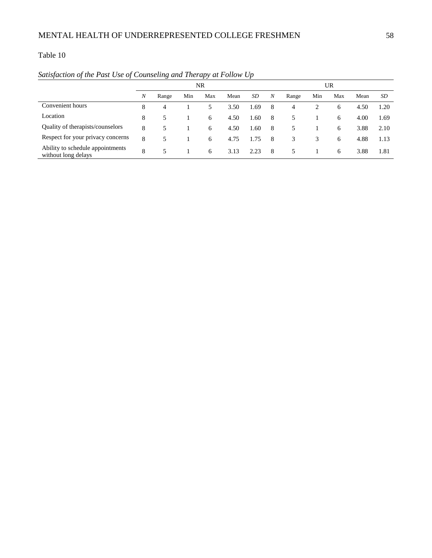### *Satisfaction of the Past Use of Counseling and Therapy at Follow Up*

|                                                         |   |       | UR  |     |      |      |   |       |     |     |      |      |
|---------------------------------------------------------|---|-------|-----|-----|------|------|---|-------|-----|-----|------|------|
|                                                         | N | Range | Min | Max | Mean | SD   | N | Range | Min | Max | Mean | SD   |
| Convenient hours                                        | 8 | 4     |     | 5   | 3.50 | 1.69 | 8 | 4     | 2   | 6   | 4.50 | 1.20 |
| Location                                                | 8 | 5     |     | 6   | 4.50 | 1.60 | 8 | 5     |     | 6   | 4.00 | 1.69 |
| Quality of therapists/counselors                        | 8 |       |     | 6   | 4.50 | 1.60 | 8 | 5.    |     | 6   | 3.88 | 2.10 |
| Respect for your privacy concerns                       | 8 |       |     | 6   | 4.75 | 1.75 | 8 | 3     | 3   | 6   | 4.88 | 1.13 |
| Ability to schedule appointments<br>without long delays | 8 |       |     | 6   | 3.13 | 2.23 | 8 | 5.    |     | 6   | 3.88 | 1.81 |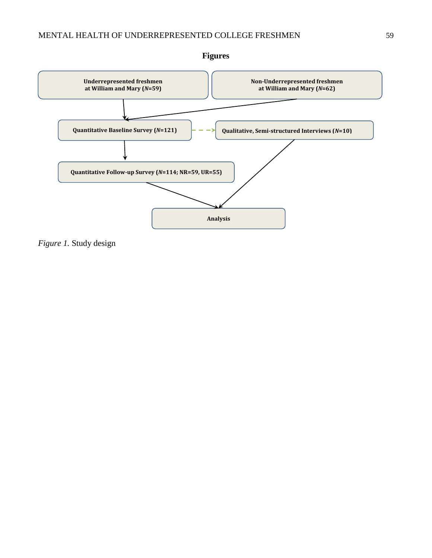

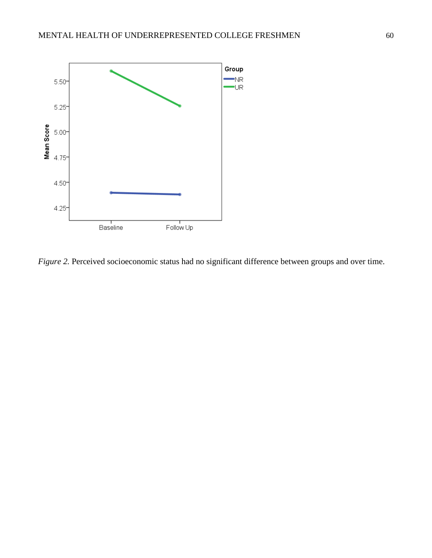

*Figure 2.* Perceived socioeconomic status had no significant difference between groups and over time.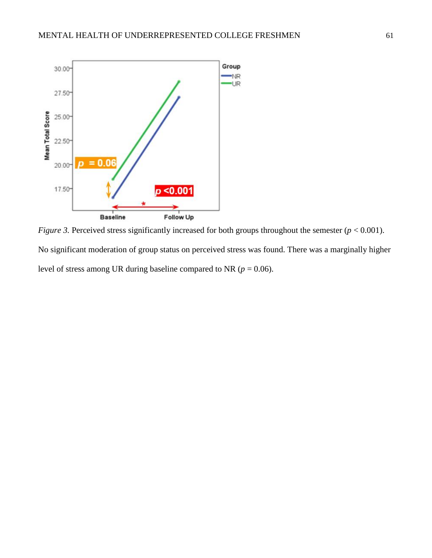

*Figure 3.* Perceived stress significantly increased for both groups throughout the semester ( $p < 0.001$ ). No significant moderation of group status on perceived stress was found. There was a marginally higher level of stress among UR during baseline compared to NR ( $p = 0.06$ ).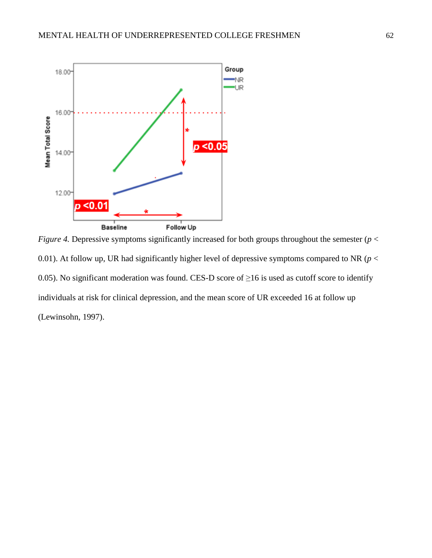

*Figure 4.* Depressive symptoms significantly increased for both groups throughout the semester (*p* < 0.01). At follow up, UR had significantly higher level of depressive symptoms compared to NR (*p* < 0.05). No significant moderation was found. CES-D score of  $\geq$ 16 is used as cutoff score to identify individuals at risk for clinical depression, and the mean score of UR exceeded 16 at follow up (Lewinsohn, 1997).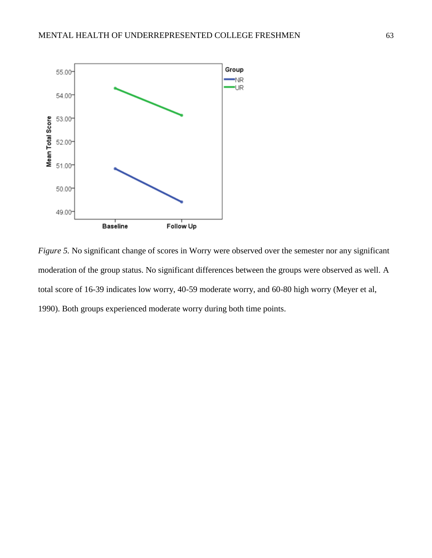

*Figure 5.* No significant change of scores in Worry were observed over the semester nor any significant moderation of the group status. No significant differences between the groups were observed as well. A total score of 16-39 indicates low worry, 40-59 moderate worry, and 60-80 high worry (Meyer et al, 1990). Both groups experienced moderate worry during both time points.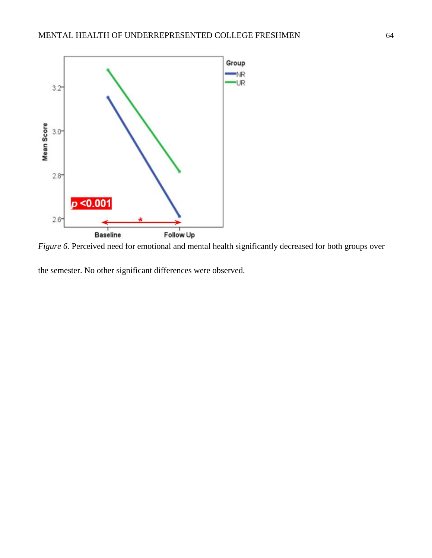

*Figure 6.* Perceived need for emotional and mental health significantly decreased for both groups over

the semester. No other significant differences were observed.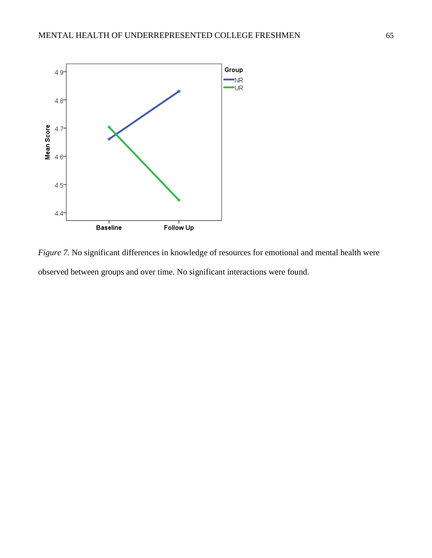

*Figure 7.* No significant differences in knowledge of resources for emotional and mental health were observed between groups and over time. No significant interactions were found.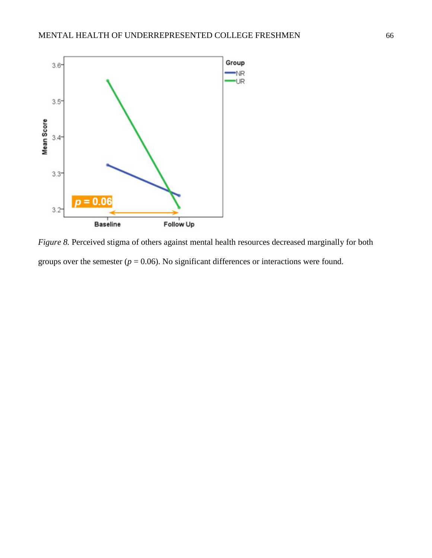

*Figure 8.* Perceived stigma of others against mental health resources decreased marginally for both groups over the semester  $(p = 0.06)$ . No significant differences or interactions were found.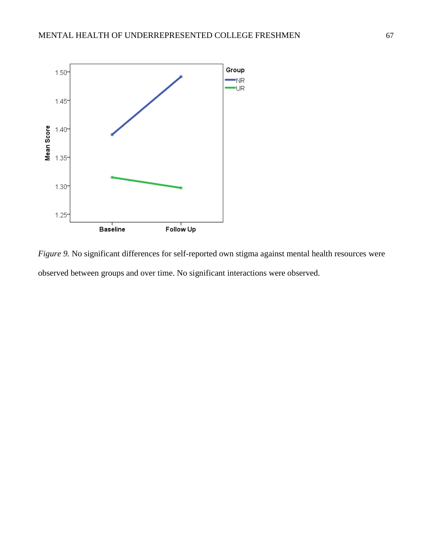

*Figure 9.* No significant differences for self-reported own stigma against mental health resources were observed between groups and over time. No significant interactions were observed.